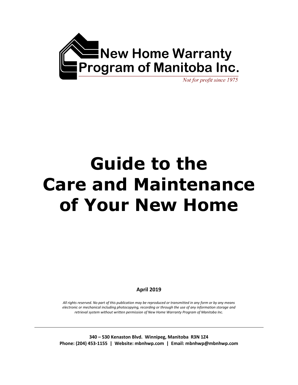

Not for profit since 1975

# **Guide to the Care and Maintenance of Your New Home**

**April 2019**

*All rights reserved. No part of this publication may be reproduced or transmitted in any form or by any means electronic or mechanical including photocopying, recording or through the use of any information storage and retrieval system without written permission of New Home Warranty Program of Manitoba Inc.*

**340 – 530 Kenaston Blvd. Winnipeg, Manitoba R3N 1Z4 Phone: (204) 453-1155 | Website: mbnhwp.com | Email: mbnhwp@mbnhwp.com**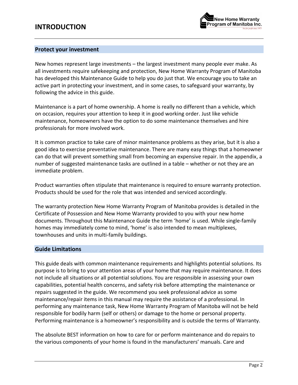

### **Protect your investment**

New homes represent large investments – the largest investment many people ever make. As all investments require safekeeping and protection, New Home Warranty Program of Manitoba has developed this Maintenance Guide to help you do just that. We encourage you to take an active part in protecting your investment, and in some cases, to safeguard your warranty, by following the advice in this guide.

Maintenance is a part of home ownership. A home is really no different than a vehicle, which on occasion, requires your attention to keep it in good working order. Just like vehicle maintenance, homeowners have the option to do some maintenance themselves and hire professionals for more involved work.

It is common practice to take care of minor maintenance problems as they arise, but it is also a good idea to exercise preventative maintenance. There are many easy things that a homeowner can do that will prevent something small from becoming an expensive repair. In the appendix, a number of suggested maintenance tasks are outlined in a table – whether or not they are an immediate problem.

Product warranties often stipulate that maintenance is required to ensure warranty protection. Products should be used for the role that was intended and serviced accordingly.

The warranty protection New Home Warranty Program of Manitoba provides is detailed in the Certificate of Possession and New Home Warranty provided to you with your new home documents. Throughout this Maintenance Guide the term 'home' is used. While single-family homes may immediately come to mind, 'home' is also intended to mean multiplexes, townhouses and units in multi-family buildings.

### **Guide Limitations**

This guide deals with common maintenance requirements and highlights potential solutions. Its purpose is to bring to your attention areas of your home that may require maintenance. It does not include all situations or all potential solutions. You are responsible in assessing your own capabilities, potential health concerns, and safety risk before attempting the maintenance or repairs suggested in the guide. We recommend you seek professional advice as some maintenance/repair items in this manual may require the assistance of a professional. In performing any maintenance task, New Home Warranty Program of Manitoba will not be held responsible for bodily harm (self or others) or damage to the home or personal property. Performing maintenance is a homeowner's responsibility and is outside the terms of Warranty.

The absolute BEST information on how to care for or perform maintenance and do repairs to the various components of your home is found in the manufacturers' manuals. Care and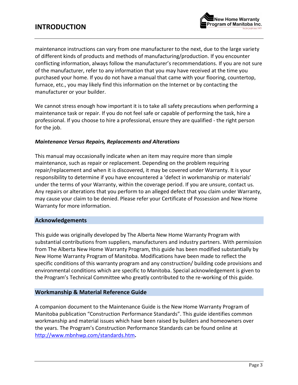

maintenance instructions can vary from one manufacturer to the next, due to the large variety of different kinds of products and methods of manufacturing/production. If you encounter conflicting information, always follow the manufacturer's recommendations. If you are not sure of the manufacturer, refer to any information that you may have received at the time you purchased your home. If you do not have a manual that came with your flooring, countertop, furnace, etc., you may likely find this information on the Internet or by contacting the manufacturer or your builder.

We cannot stress enough how important it is to take all safety precautions when performing a maintenance task or repair. If you do not feel safe or capable of performing the task, hire a professional. If you choose to hire a professional, ensure they are qualified - the right person for the job.

### *Maintenance Versus Repairs, Replacements and Alterations*

This manual may occasionally indicate when an item may require more than simple maintenance, such as repair or replacement. Depending on the problem requiring repair/replacement and when it is discovered, it may be covered under Warranty. It is your responsibility to determine if you have encountered a 'defect in workmanship or materials' under the terms of your Warranty, within the coverage period. If you are unsure, contact us. Any repairs or alterations that you perform to an alleged defect that you claim under Warranty, may cause your claim to be denied. Please refer your Certificate of Possession and New Home Warranty for more information.

### **Acknowledgements**

This guide was originally developed by The Alberta New Home Warranty Program with substantial contributions from suppliers, manufacturers and industry partners. With permission from The Alberta New Home Warranty Program, this guide has been modified substantially by New Home Warranty Program of Manitoba. Modifications have been made to reflect the specific conditions of this warranty program and any construction/ building code provisions and environmental conditions which are specific to Manitoba. Special acknowledgement is given to the Program's Technical Committee who greatly contributed to the re-working of this guide.

### **Workmanship & Material Reference Guide**

A companion document to the Maintenance Guide is the New Home Warranty Program of Manitoba publication "Construction Performance Standards". This guide identifies common workmanship and material issues which have been raised by builders and homeowners over the years. The Program's Construction Performance Standards can be found online at <http://www.mbnhwp.com/standards.htm>**.**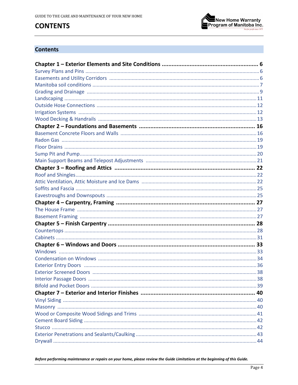# **CONTENTS**



### **Contents**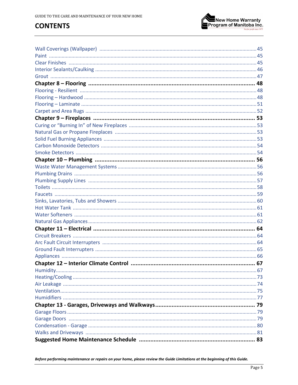# **CONTENTS**

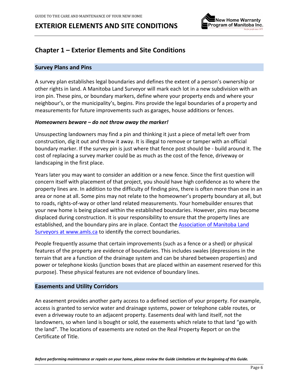

### <span id="page-5-0"></span>**Chapter 1 – Exterior Elements and Site Conditions**

#### <span id="page-5-1"></span>**Survey Plans and Pins**

A survey plan establishes legal boundaries and defines the extent of a person's ownership or other rights in land. A Manitoba Land Surveyor will mark each lot in a new subdivision with an iron pin. These pins, or boundary markers, define where your property ends and where your neighbour's, or the municipality's, begins. Pins provide the legal boundaries of a property and measurements for future improvements such as garages, house additions or fences.

#### *Homeowners beware – do not throw away the marker!*

Unsuspecting landowners may find a pin and thinking it just a piece of metal left over from construction, dig it out and throw it away. It is illegal to remove or tamper with an official boundary marker. If the survey pin is just where that fence post should be - build around it. The cost of replacing a survey marker could be as much as the cost of the fence, driveway or landscaping in the first place.

Years later you may want to consider an addition or a new fence. Since the first question will concern itself with placement of that project, you should have high confidence as to where the property lines are. In addition to the difficulty of finding pins, there is often more than one in an area or none at all. Some pins may not relate to the homeowner's property boundary at all, but to roads, rights-of-way or other land related measurements. Your homebuilder ensures that your new home is being placed within the established boundaries. However, pins may become displaced during construction. It is your responsibility to ensure that the property lines are established, and the boundary pins are in place. Contact the [Association of Manitoba Land](http://www.amls.ca/)  [Surveyors at www.amls.ca](http://www.amls.ca/) to identify the correct boundaries.

People frequently assume that certain improvements (such as a fence or a shed) or physical features of the property are evidence of boundaries. This includes swales (depressions in the terrain that are a function of the drainage system and can be shared between properties) and power or telephone kiosks (junction boxes that are placed within an easement reserved for this purpose). These physical features are not evidence of boundary lines.

#### <span id="page-5-2"></span>**Easements and Utility Corridors**

An easement provides another party access to a defined section of your property. For example, access is granted to service water and drainage systems, power or telephone cable routes, or even a driveway route to an adjacent property. Easements deal with land itself, not the landowners, so when land is bought or sold, the easements which relate to that land "go with the land". The locations of easements are noted on the Real Property Report or on the Certificate of Title.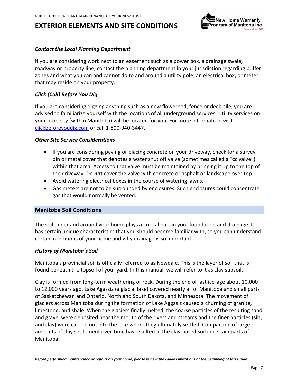

### *Contact the Local Planning Department*

If you are considering work next to an easement such as a power box, a drainage swale, roadway or property line, contact the planning department in your jurisdiction regarding buffer zones and what you can and cannot do to and around a utility pole, an electrical box, or meter that may reside on your property.

### *Click (Call) Before You Dig*

If you are considering digging anything such as a new flowerbed, fence or deck pile, you are advised to familiarize yourself with the locations of all underground services. Utility services on your property (within Manitoba) will be located for you**.** For more information, visit [clickbeforeyoudig.com](http://www.clickbeforeyoudig.com/) or call 1-800-940-3447.

#### *Other Site Service Considerations*

- If you are considering paving or placing concrete on your driveway, check for a survey pin or metal cover that denotes a water shut off valve (sometimes called a "cc valve") within that area. Access to that valve must be maintained by bringing it up to the top of the driveway. Do **not** cover the valve with concrete or asphalt or landscape over top.
- Avoid watering electrical boxes in the course of watering lawns.
- Gas meters are not to be surrounded by enclosures. Such enclosures could concentrate gas that would normally be vented.

#### <span id="page-6-0"></span>**Manitoba Soil Conditions**

The soil under and around your home plays a critical part in your foundation and drainage. It has certain unique characteristics that you should become familiar with, so you can understand certain conditions of your home and why drainage is so important.

#### *History of Manitoba's Soil*

Manitoba's provincial soil is officially referred to as Newdale. This is the layer of soil that is found beneath the topsoil of your yard. In this manual, we will refer to it as clay subsoil.

Clay is formed from long-term weathering of rock. During the end of last ice-age about 10,000 to 12,000 years ago, Lake Agassiz (a glacial lake) covered nearly all of Manitoba and small parts of Saskatchewan and Ontario, North and South Dakota, and Minnesota. The movement of glaciers across Manitoba during the formation of Lake Aggasiz caused a churning of granite, limestone, and shale. When the glaciers finally melted, the coarse particles of the resulting sand and gravel were deposited near the mouth of the rivers and streams and the finer particles (silt, and clay) were carried out into the lake where they ultimately settled. Compaction of large amounts of clay settlement over-time has resulted in the clay-based soil in certain parts of Manitoba.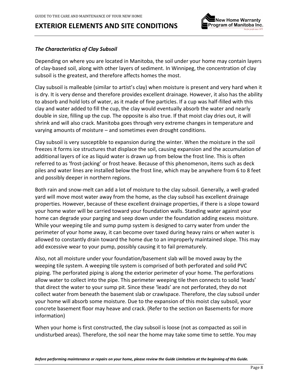

### *The Characteristics of Clay Subsoil*

Depending on where you are located in Manitoba, the soil under your home may contain layers of clay-based soil, along with other layers of sediment. In Winnipeg, the concentration of clay subsoil is the greatest, and therefore affects homes the most.

Clay subsoil is malleable (similar to artist's clay) when moisture is present and very hard when it is dry. It is very dense and therefore provides excellent drainage. However, it also has the ability to absorb and hold lots of water, as it made of fine particles. If a cup was half-filled with this clay and water added to fill the cup, the clay would eventually absorb the water and nearly double in size, filling up the cup. The opposite is also true. If that moist clay dries out, it will shrink and will also crack. Manitoba goes through very extreme changes in temperature and varying amounts of moisture – and sometimes even drought conditions.

Clay subsoil is very susceptible to expansion during the winter. When the moisture in the soil freezes it forms ice structures that displace the soil, causing expansion and the accumulation of additional layers of ice as liquid water is drawn up from below the frost line. This is often referred to as 'frost-jacking' or frost heave. Because of this phenomenon, items such as deck piles and water lines are installed below the frost line, which may be anywhere from 6 to 8 feet and possibly deeper in northern regions.

Both rain and snow-melt can add a lot of moisture to the clay subsoil. Generally, a well-graded yard will move most water away from the home, as the clay subsoil has excellent drainage properties. However, because of these excellent drainage properties, if there is a slope toward your home water will be carried toward your foundation walls. Standing water against your home can degrade your parging and seep down under the foundation adding excess moisture. While your weeping tile and sump pump system is designed to carry water from under the perimeter of your home away, it can become over taxed during heavy rains or when water is allowed to constantly drain toward the home due to an improperly maintained slope. This may add excessive wear to your pump, possibly causing it to fail prematurely.

Also, not all moisture under your foundation/basement slab will be moved away by the weeping tile system. A weeping tile system is comprised of both perforated and solid PVC piping. The perforated piping is along the exterior perimeter of your home. The perforations allow water to collect into the pipe. This perimeter weeping tile then connects to solid 'leads' that direct the water to your sump pit. Since these 'leads' are not perforated, they do not collect water from beneath the basement slab or crawlspace. Therefore, the clay subsoil under your home will absorb some moisture. Due to the expansion of this moist clay subsoil, your concrete basement floor may heave and crack. (Refer to the section on Basements for more information)

When your home is first constructed, the clay subsoil is loose (not as compacted as soil in undisturbed areas). Therefore, the soil near the home may take some time to settle. You may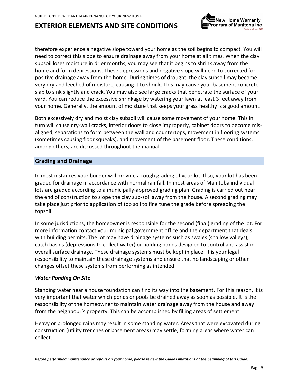



therefore experience a negative slope toward your home as the soil begins to compact. You will need to correct this slope to ensure drainage away from your home at all times. When the clay subsoil loses moisture in drier months, you may see that it begins to shrink away from the home and form depressions. These depressions and negative slope will need to corrected for positive drainage away from the home. During times of drought, the clay subsoil may become very dry and leeched of moisture, causing it to shrink. This may cause your basement concrete slab to sink slightly and crack. You may also see large cracks that penetrate the surface of your yard. You can reduce the excessive shrinkage by watering your lawn at least 3 feet away from your home. Generally, the amount of moisture that keeps your grass healthy is a good amount.

Both excessively dry and moist clay subsoil will cause some movement of your home. This in turn will cause dry-wall cracks, interior doors to close improperly, cabinet doors to become misaligned, separations to form between the wall and countertops, movement in flooring systems (sometimes causing floor squeaks), and movement of the basement floor. These conditions, among others, are discussed throughout the manual.

### <span id="page-8-0"></span>**Grading and Drainage**

In most instances your builder will provide a rough grading of your lot. If so, your lot has been graded for drainage in accordance with normal rainfall. In most areas of Manitoba individual lots are graded according to a municipally-approved grading plan. Grading is carried out near the end of construction to slope the clay sub-soil away from the house. A second grading may take place just prior to application of top soil to fine tune the grade before spreading the topsoil.

In some jurisdictions, the homeowner is responsible for the second (final) grading of the lot. For more information contact your municipal government office and the department that deals with building permits. The lot may have drainage systems such as swales (shallow valleys), catch basins (depressions to collect water) or holding ponds designed to control and assist in overall surface drainage. These drainage systems must be kept in place. It is your legal responsibility to maintain these drainage systems and ensure that no landscaping or other changes offset these systems from performing as intended.

#### *Water Ponding On Site*

Standing water near a house foundation can find its way into the basement. For this reason, it is very important that water which ponds or pools be drained away as soon as possible. It is the responsibility of the homeowner to maintain water drainage away from the house and away from the neighbour's property. This can be accomplished by filling areas of settlement.

Heavy or prolonged rains may result in some standing water. Areas that were excavated during construction (utility trenches or basement areas) may settle, forming areas where water can collect.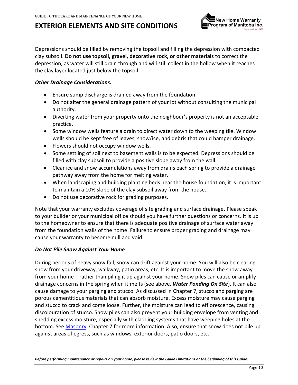

Depressions should be filled by removing the topsoil and filling the depression with compacted clay subsoil. **Do not use topsoil, gravel, decorative rock, or other materials** to correct the depression, as water will still drain through and will still collect in the hollow when it reaches the clay layer located just below the topsoil.

### *Other Drainage Considerations:*

- Ensure sump discharge is drained away from the foundation.
- Do not alter the general drainage pattern of your lot without consulting the municipal authority.
- Diverting water from your property onto the neighbour's property is not an acceptable practice.
- Some window wells feature a drain to direct water down to the weeping tile. Window wells should be kept free of leaves, snow/ice, and debris that could hamper drainage.
- Flowers should not occupy window wells.
- Some settling of soil next to basement walls is to be expected. Depressions should be filled with clay subsoil to provide a positive slope away from the wall.
- Clear ice and snow accumulations away from drains each spring to provide a drainage pathway away from the home for melting water.
- When landscaping and building planting beds near the house foundation, it is important to maintain a 10% slope of the clay subsoil away from the house.
- Do not use decorative rock for grading purposes.

Note that your warranty excludes coverage of site grading and surface drainage. Please speak to your builder or your municipal office should you have further questions or concerns. It is up to the homeowner to ensure that there is adequate positive drainage of surface water away from the foundation walls of the home. Failure to ensure proper grading and drainage may cause your warranty to become null and void.

### *Do Not Pile Snow Against Your Home*

During periods of heavy snow fall, snow can drift against your home. You will also be clearing snow from your driveway, walkway, patio areas, etc. It is important to move the snow away from your home – rather than piling it up against your home. Snow piles can cause or amplify drainage concerns in the spring when it melts (see above, *Water Ponding On Site*). It can also cause damage to your parging and stucco. As discussed in Chapter 7, stucco and parging are porous cementitious materials that can absorb moisture. Excess moisture may cause parging and stucco to crack and come loose. Further, the moisture can lead to efflorescence, causing discolouration of stucco. Snow piles can also prevent your building envelope from venting and shedding excess moisture, especially with cladding systems that have weeping holes at the bottom. See [Masonry,](#page-39-2) Chapter 7 for more information. Also, ensure that snow does not pile up against areas of egress, such as windows, exterior doors, patio doors, etc.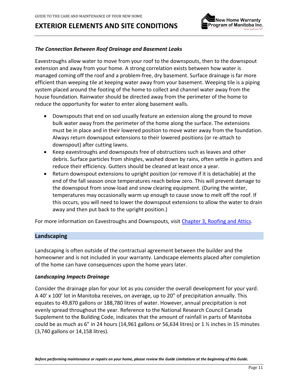

### *The Connection Between Roof Drainage and Basement Leaks*

Eavestroughs allow water to move from your roof to the downspouts, then to the downspout extension and away from your home. A strong correlation exists between how water is managed coming off the roof and a problem-free, dry basement. Surface drainage is far more efficient than weeping tile at keeping water away from your basement. Weeping tile is a piping system placed around the footing of the home to collect and channel water away from the house foundation. Rainwater should be directed away from the perimeter of the home to reduce the opportunity for water to enter along basement walls.

- Downspouts that end on sod usually feature an extension along the ground to move bulk water away from the perimeter of the home along the surface. The extensions must be in place and in their lowered position to move water away from the foundation. Always return downspout extensions to their lowered positions (or re-attach to downspout) after cutting lawns.
- Keep eavestroughs and downspouts free of obstructions such as leaves and other debris. Surface particles from shingles, washed down by rains, often settle in gutters and reduce their efficiency. Gutters should be cleaned at least once a year.
- Return downspout extensions to upright position (or remove if it is detachable) at the end of the fall season once temperatures reach below zero. This will prevent damage to the downspout from snow-load and snow clearing equipment. (During the winter, temperatures may occasionally warm up enough to cause snow to melt off the roof. If this occurs, you will need to lower the downspout extensions to allow the water to drain away and then put back to the upright position.)

For more information on Eavestroughs and Downspouts, visit [Chapter 3, Roofing](#page-21-0) and Attics.

#### <span id="page-10-0"></span>**Landscaping**

Landscaping is often outside of the contractual agreement between the builder and the homeowner and is not included in your warranty. Landscape elements placed after completion of the home can have consequences upon the home years later.

#### *Landscaping Impacts Drainage*

Consider the drainage plan for your lot as you consider the overall development for your yard. A 40' x 100' lot in Manitoba receives, on average, up to 20" of precipitation annually. This equates to 49,870 gallons or 188,780 litres of water. However, annual precipitation is not evenly spread throughout the year. Reference to the National Research Council Canada Supplement to the Building Code, indicates that the amount of rainfall in parts of Manitoba could be as much as 6" in 24 hours (14,961 gallons or 56,634 litres) or 1  $\frac{1}{2}$  inches in 15 minutes (3,740 gallons or 14,158 litres).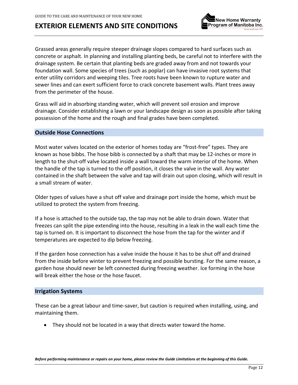

Grassed areas generally require steeper drainage slopes compared to hard surfaces such as concrete or asphalt. In planning and installing planting beds, be careful not to interfere with the drainage system. Be certain that planting beds are graded away from and not towards your foundation wall. Some species of trees (such as poplar) can have invasive root systems that enter utility corridors and weeping tiles. Tree roots have been known to rupture water and sewer lines and can exert sufficient force to crack concrete basement walls. Plant trees away from the perimeter of the house.

Grass will aid in absorbing standing water, which will prevent soil erosion and improve drainage. Consider establishing a lawn or your landscape design as soon as possible after taking possession of the home and the rough and final grades have been completed.

### <span id="page-11-0"></span>**Outside Hose Connections**

Most water valves located on the exterior of homes today are "frost-free" types. They are known as hose bibbs. The hose bibb is connected by a shaft that may be 12-inches or more in length to the shut-off valve located inside a wall toward the warm interior of the home. When the handle of the tap is turned to the off position, it closes the valve in the wall. Any water contained in the shaft between the valve and tap will drain out upon closing, which will result in a small stream of water.

Older types of values have a shut off valve and drainage port inside the home, which must be utilized to protect the system from freezing.

If a hose is attached to the outside tap, the tap may not be able to drain down. Water that freezes can split the pipe extending into the house, resulting in a leak in the wall each time the tap is turned on. It is important to disconnect the hose from the tap for the winter and if temperatures are expected to dip below freezing.

If the garden hose connection has a valve inside the house it has to be shut off and drained from the inside before winter to prevent freezing and possible bursting. For the same reason, a garden hose should never be left connected during freezing weather. Ice forming in the hose will break either the hose or the hose faucet.

### <span id="page-11-1"></span>**Irrigation Systems**

These can be a great labour and time-saver, but caution is required when installing, using, and maintaining them.

• They should not be located in a way that directs water toward the home.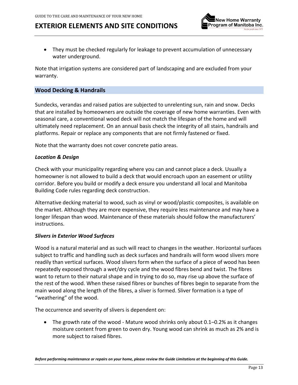

• They must be checked regularly for leakage to prevent accumulation of unnecessary water underground.

Note that irrigation systems are considered part of landscaping and are excluded from your warranty.

### <span id="page-12-0"></span>**Wood Decking & Handrails**

Sundecks, verandas and raised patios are subjected to unrelenting sun, rain and snow. Decks that are installed by homeowners are outside the coverage of new home warranties. Even with seasonal care, a conventional wood deck will not match the lifespan of the home and will ultimately need replacement. On an annual basis check the integrity of all stairs, handrails and platforms. Repair or replace any components that are not firmly fastened or fixed.

Note that the warranty does not cover concrete patio areas.

#### *Location & Design*

Check with your municipality regarding where you can and cannot place a deck. Usually a homeowner is not allowed to build a deck that would encroach upon an easement or utility corridor. Before you build or modify a deck ensure you understand all local and Manitoba Building Code rules regarding deck construction.

Alternative decking material to wood, such as vinyl or wood/plastic composites, is available on the market. Although they are more expensive, they require less maintenance and may have a longer lifespan than wood. Maintenance of these materials should follow the manufacturers' instructions.

#### *Slivers in Exterior Wood Surfaces*

Wood is a natural material and as such will react to changes in the weather. Horizontal surfaces subject to traffic and handling such as deck surfaces and handrails will form wood slivers more readily than vertical surfaces. Wood slivers form when the surface of a piece of wood has been repeatedly exposed through a wet/dry cycle and the wood fibres bend and twist. The fibres want to return to their natural shape and in trying to do so, may rise up above the surface of the rest of the wood. When these raised fibres or bunches of fibres begin to separate from the main wood along the length of the fibres, a sliver is formed. Sliver formation is a type of "weathering" of the wood.

The occurrence and severity of slivers is dependent on:

• The growth rate of the wood - Mature wood shrinks only about 0.1–0.2% as it changes moisture content from green to oven dry. Young wood can shrink as much as 2% and is more subject to raised fibres.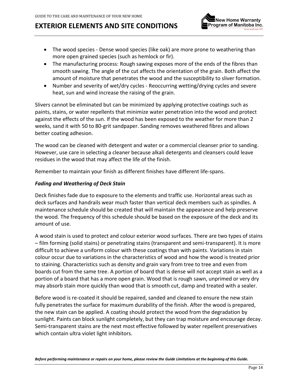

- The wood species Dense wood species (like oak) are more prone to weathering than more open grained species (such as hemlock or fir).
- The manufacturing process: Rough sawing exposes more of the ends of the fibres than smooth sawing. The angle of the cut affects the orientation of the grain. Both affect the amount of moisture that penetrates the wood and the susceptibility to sliver formation.
- Number and severity of wet/dry cycles Reoccurring wetting/drying cycles and severe heat, sun and wind increase the raising of the grain.

Slivers cannot be eliminated but can be minimized by applying protective coatings such as paints, stains, or water repellents that minimize water penetration into the wood and protect against the effects of the sun. If the wood has been exposed to the weather for more than 2 weeks, sand it with 50 to 80-grit sandpaper. Sanding removes weathered fibres and allows better coating adhesion.

The wood can be cleaned with detergent and water or a commercial cleanser prior to sanding. However, use care in selecting a cleaner because alkali detergents and cleansers could leave residues in the wood that may affect the life of the finish.

Remember to maintain your finish as different finishes have different life-spans.

### *Fading and Weathering of Deck Stain*

Deck finishes fade due to exposure to the elements and traffic use. Horizontal areas such as deck surfaces and handrails wear much faster than vertical deck members such as spindles. A maintenance schedule should be created that will maintain the appearance and help preserve the wood. The frequency of this schedule should be based on the exposure of the deck and its amount of use.

A wood stain is used to protect and colour exterior wood surfaces. There are two types of stains – film forming (solid stains) or penetrating stains (transparent and semi-transparent). It is more difficult to achieve a uniform colour with these coatings than with paints. Variations in stain colour occur due to variations in the characteristics of wood and how the wood is treated prior to staining. Characteristics such as density and grain vary from tree to tree and even from boards cut from the same tree. A portion of board that is dense will not accept stain as well as a portion of a board that has a more open grain. Wood that is rough sawn, unprimed or very dry may absorb stain more quickly than wood that is smooth cut, damp and treated with a sealer.

Before wood is re-coated it should be repaired, sanded and cleaned to ensure the new stain fully penetrates the surface for maximum durability of the finish. After the wood is prepared, the new stain can be applied. A coating should protect the wood from the degradation by sunlight. Paints can block sunlight completely, but they can trap moisture and encourage decay. Semi-transparent stains are the next most effective followed by water repellent preservatives which contain ultra violet light inhibitors.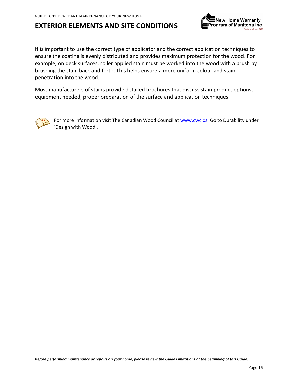

It is important to use the correct type of applicator and the correct application techniques to ensure the coating is evenly distributed and provides maximum protection for the wood. For example, on deck surfaces, roller applied stain must be worked into the wood with a brush by brushing the stain back and forth. This helps ensure a more uniform colour and stain penetration into the wood.

Most manufacturers of stains provide detailed brochures that discuss stain product options, equipment needed, proper preparation of the surface and application techniques.



For more information visit The Canadian Wood Council at [www.cwc.ca](http://www.cwc.ca/) Go to Durability under 'Design with Wood'.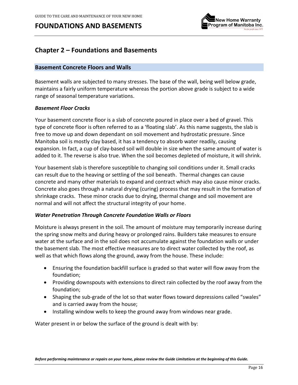

### <span id="page-15-0"></span>**Chapter 2 – Foundations and Basements**

#### <span id="page-15-1"></span>**Basement Concrete Floors and Walls**

Basement walls are subjected to many stresses. The base of the wall, being well below grade, maintains a fairly uniform temperature whereas the portion above grade is subject to a wide range of seasonal temperature variations.

#### *Basement Floor Cracks*

Your basement concrete floor is a slab of concrete poured in place over a bed of gravel. This type of concrete floor is often referred to as a 'floating slab'. As this name suggests, the slab is free to move up and down dependant on soil movement and hydrostatic pressure. Since Manitoba soil is mostly clay based, it has a tendency to absorb water readily, causing expansion. In fact, a cup of clay-based soil will double in size when the same amount of water is added to it. The reverse is also true. When the soil becomes depleted of moisture, it will shrink.

Your basement slab is therefore susceptible to changing soil conditions under it. Small cracks can result due to the heaving or settling of the soil beneath. Thermal changes can cause concrete and many other materials to expand and contract which may also cause minor cracks. Concrete also goes through a natural drying (curing) process that may result in the formation of shrinkage cracks. These minor cracks due to drying, thermal change and soil movement are normal and will not affect the structural integrity of your home.

### *Water Penetration Through Concrete Foundation Walls or Floors*

Moisture is always present in the soil. The amount of moisture may temporarily increase during the spring snow melts and during heavy or prolonged rains. Builders take measures to ensure water at the surface and in the soil does not accumulate against the foundation walls or under the basement slab. The most effective measures are to direct water collected by the roof, as well as that which flows along the ground, away from the house. These include:

- Ensuring the foundation backfill surface is graded so that water will flow away from the foundation;
- Providing downspouts with extensions to direct rain collected by the roof away from the foundation;
- Shaping the sub-grade of the lot so that water flows toward depressions called "swales" and is carried away from the house;
- Installing window wells to keep the ground away from windows near grade.

Water present in or below the surface of the ground is dealt with by: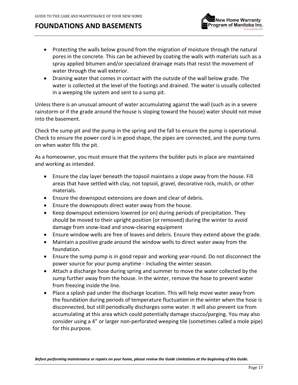

- Protecting the walls below ground from the migration of moisture through the natural pores in the concrete. This can be achieved by coating the walls with materials such as a spray applied bitumen and/or specialized drainage mats that resist the movement of water through the wall exterior.
- Draining water that comes in contact with the outside of the wall below grade. The water is collected at the level of the footings and drained. The water is usually collected in a weeping tile system and sent to a sump pit.

Unless there is an unusual amount of water accumulating against the wall (such as in a severe rainstorm or if the grade around the house is sloping toward the house) water should not move into the basement.

Check the sump pit and the pump in the spring and the fall to ensure the pump is operational. Check to ensure the power cord is in good shape, the pipes are connected, and the pump turns on when water fills the pit.

As a homeowner, you must ensure that the systems the builder puts in place are maintained and working as intended.

- Ensure the clay layer beneath the topsoil maintains a slope away from the house. Fill areas that have settled with clay, not topsoil, gravel, decorative rock, mulch, or other materials.
- Ensure the downspout extensions are down and clear of debris.
- Ensure the downspouts direct water away from the house.
- Keep downspout extensions lowered (or on) during periods of precipitation. They should be moved to their upright position (or removed) during the winter to avoid damage from snow-load and snow-clearing equipment
- Ensure window wells are free of leaves and debris. Ensure they extend above the grade.
- Maintain a positive grade around the window wells to direct water away from the foundation.
- Ensure the sump pump is in good repair and working year-round. Do not disconnect the power source for your pump anytime - including the winter season.
- Attach a discharge hose during spring and summer to move the water collected by the sump further away from the house. In the winter, remove the hose to prevent water from freezing inside the line.
- Place a splash pad under the discharge location. This will help move water away from the foundation during periods of temperature fluctuation in the winter when the hose is disconnected, but still periodically discharges some water. It will also prevent ice from accumulating at this area which could potentially damage stucco/parging. You may also consider using a 4" or larger non-perforated weeping tile (sometimes called a mole pipe) for this purpose.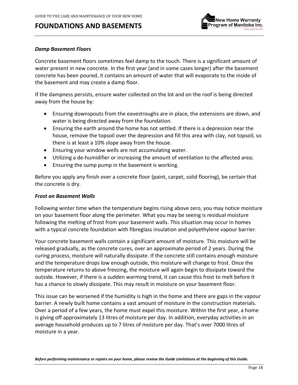

#### *Damp Basement Floors*

Concrete basement floors sometimes feel damp to the touch. There is a significant amount of water present in new concrete. In the first year (and in some cases longer) after the basement concrete has been poured, it contains an amount of water that will evaporate to the inside of the basement and may create a damp floor.

If the dampness persists, ensure water collected on the lot and on the roof is being directed away from the house by:

- Ensuring downspouts from the eavestroughs are in place, the extensions are down, and water is being directed away from the foundation.
- Ensuring the earth around the home has not settled. If there is a depression near the house, remove the topsoil over the depression and fill this area with clay, not topsoil, so there is at least a 10% slope away from the house.
- Ensuring your window wells are not accumulating water.
- Utilizing a de-humidifier or increasing the amount of ventilation to the affected area;
- Ensuring the sump pump in the basement is working.

Before you apply any finish over a concrete floor (paint, carpet, solid flooring), be certain that the concrete is dry.

#### *Frost on Basement Walls*

Following winter time when the temperature begins rising above zero, you may notice moisture on your basement floor along the perimeter. What you may be seeing is residual moisture following the melting of frost from your basement walls. This situation may occur in homes with a typical concrete foundation with fibreglass insulation and polyethylene vapour barrier.

Your concrete basement walls contain a significant amount of moisture. This moisture will be released gradually, as the concrete cures, over an approximate period of 2 years. During the curing process, moisture will naturally dissipate. If the concrete still contains enough moisture and the temperature drops low enough outside, this moisture will change to frost. Once the temperature returns to above freezing, the moisture will again begin to dissipate toward the outside. However, if there is a sudden warming trend, it can cause this frost to melt before it has a chance to slowly dissipate. This may result in moisture on your basement floor.

This issue can be worsened if the humidity is high in the home and there are gaps in the vapour barrier. A newly built home contains a vast amount of moisture in the construction materials. Over a period of a few years, the home must expel this moisture. Within the first year, a home is giving off approximately 13 litres of moisture per day. In addition, everyday activities in an average household produces up to 7 litres of moisture per day. That's over 7000 litres of moisture in a year.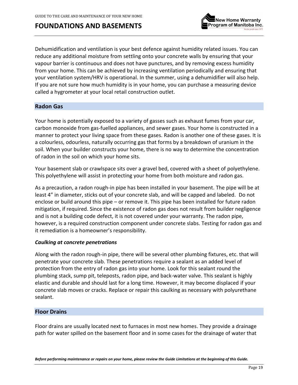

Dehumidification and ventilation is your best defence against humidity related issues. You can reduce any additional moisture from settling onto your concrete walls by ensuring that your vapour barrier is continuous and does not have punctures, and by removing excess humidity from your home. This can be achieved by increasing ventilation periodically and ensuring that your ventilation system/HRV is operational. In the summer, using a dehumidifier will also help. If you are not sure how much humidity is in your home, you can purchase a measuring device called a hygrometer at your local retail construction outlet.

### <span id="page-18-0"></span>**Radon Gas**

Your home is potentially exposed to a variety of gasses such as exhaust fumes from your car, carbon monoxide from gas-fuelled appliances, and sewer gases. Your home is constructed in a manner to protect your living space from these gases. Radon is another one of these gases. It is a colourless, odourless, naturally occurring gas that forms by a breakdown of uranium in the soil. When your builder constructs your home, there is no way to determine the concentration of radon in the soil on which your home sits.

Your basement slab or crawlspace sits over a gravel bed, covered with a sheet of polyethylene. This polyethylene will assist in protecting your home from both moisture and radon gas.

As a precaution, a radon rough-in pipe has been installed in your basement. The pipe will be at least 4" in diameter, sticks out of your concrete slab, and will be capped and labeled. Do not enclose or build around this pipe – or remove it. This pipe has been installed for future radon mitigation, if required. Since the existence of radon gas does not result from builder negligence and is not a building code defect, it is not covered under your warranty. The radon pipe, however, is a required construction component under concrete slabs. Testing for radon gas and it remediation is a homeowner's responsibility.

#### *Caulking at concrete penetrations*

Along with the radon rough-in pipe, there will be several other plumbing fixtures, etc. that will penetrate your concrete slab. These penetrations require a sealant as an added level of protection from the entry of radon gas into your home. Look for this sealant round the plumbing stack, sump pit, teleposts, radon pipe, and back-water valve. This sealant is highly elastic and durable and should last for a long time. However, it may become displaced if your concrete slab moves or cracks. Replace or repair this caulking as necessary with polyurethane sealant.

#### <span id="page-18-1"></span>**Floor Drains**

Floor drains are usually located next to furnaces in most new homes. They provide a drainage path for water spilled on the basement floor and in some cases for the drainage of water that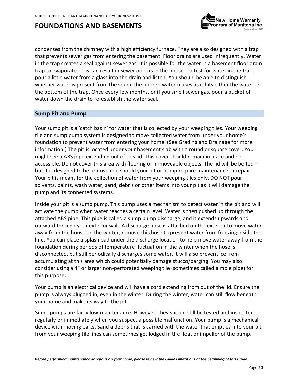

condenses from the chimney with a high efficiency furnace. They are also designed with a trap that prevents sewer gas from entering the basement. Floor drains are used infrequently. Water in the trap creates a seal against sewer gas. It is possible for the water in a basement floor drain trap to evaporate. This can result in sewer odours in the house. To test for water in the trap, pour a little water from a glass into the drain and listen. You should be able to distinguish whether water is present from the sound the poured water makes as it hits either the water or the bottom of the trap. Once every few months, or if you smell sewer gas, pour a bucket of water down the drain to re-establish the water seal.

### **Sump Pit and Pump**

Your sump pit is a 'catch basin' for water that is collected by your weeping tiles. Your weeping tile and sump pump system is designed to move collected water from under your home's foundation to prevent water from entering your home. (See Grading and Drainage for more information.) The pit is located under your basement slab with a round or square cover. You might see a ABS pipe extending out of this lid. This cover should remain in place and be accessible. Do not cover this area with flooring or immoveable objects. The lid will be bolted – but it is designed to be removeable should your pit or pump require maintenance or repair. Your pit is meant for the collection of water from your weeping tiles only. DO NOT pour solvents, paints, wash water, sand, debris or other items into your pit as it will damage the pump and its connected systems.

Inside your pit is a sump pump. This pump uses a mechanism to detect water in the pit and will activate the pump when water reaches a certain level. Water is then pushed up through the attached ABS pipe. This pipe is called a sump pump discharge, and it extends upwards and outward through your exterior wall. A discharge hose is attached on the exterior to move water away from the house. In the winter, remove this hose to prevent water from freezing inside the line. You can place a splash pad under the discharge location to help move water away from the foundation during periods of temperature fluctuation in the winter when the hose is disconnected, but still periodically discharges some water. It will also prevent ice from accumulating at this area which could potentially damage stucco/parging. You may also consider using a 4" or larger non-perforated weeping tile (sometimes called a mole pipe) for this purpose.

Your pump is an electrical device and will have a cord extending from out of the lid. Ensure the pump is always plugged in, even in the winter. During the winter, water can still flow beneath your home and make its way to the pit.

Sump pumps are fairly low-maintenance. However, they should still be tested and inspected regularly or immediately when you suspect a possible malfunction. Your pump is a mechanical device with moving parts. Sand a debris that is carried with the water that empties into your pit from your weeping tile lines can sometimes get lodged in the float or impeller of the pump,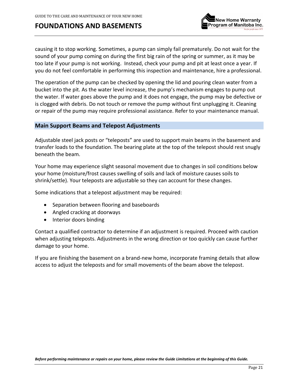

causing it to stop working. Sometimes, a pump can simply fail prematurely. Do not wait for the sound of your pump coming on during the first big rain of the spring or summer, as it may be too late if your pump is not working. Instead, check your pump and pit at least once a year. If you do not feel comfortable in performing this inspection and maintenance, hire a professional.

The operation of the pump can be checked by opening the lid and pouring clean water from a bucket into the pit. As the water level increase, the pump's mechanism engages to pump out the water. If water goes above the pump and it does not engage, the pump may be defective or is clogged with debris. Do not touch or remove the pump without first unplugging it. Cleaning or repair of the pump may require professional assistance. Refer to your maintenance manual.

### <span id="page-20-0"></span>**Main Support Beams and Telepost Adjustments**

Adjustable steel jack posts or "teleposts" are used to support main beams in the basement and transfer loads to the foundation. The bearing plate at the top of the telepost should rest snugly beneath the beam.

Your home may experience slight seasonal movement due to changes in soil conditions below your home (moisture/frost causes swelling of soils and lack of moisture causes soils to shrink/settle). Your teleposts are adjustable so they can account for these changes.

Some indications that a telepost adjustment may be required:

- Separation between flooring and baseboards
- Angled cracking at doorways
- Interior doors binding

Contact a qualified contractor to determine if an adjustment is required. Proceed with caution when adjusting teleposts. Adjustments in the wrong direction or too quickly can cause further damage to your home.

If you are finishing the basement on a brand-new home, incorporate framing details that allow access to adjust the teleposts and for small movements of the beam above the telepost.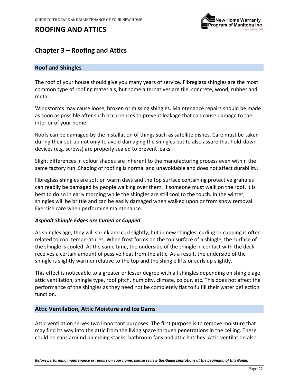

# <span id="page-21-0"></span>**Chapter 3 – Roofing and Attics**

### <span id="page-21-1"></span>**Roof and Shingles**

The roof of your house should give you many years of service. Fibreglass shingles are the most common type of roofing materials, but some alternatives are tile, concrete, wood, rubber and metal.

Windstorms may cause loose, broken or missing shingles. Maintenance repairs should be made as soon as possible after such occurrences to prevent leakage that can cause damage to the interior of your home.

Roofs can be damaged by the installation of things such as satellite dishes. Care must be taken during their set-up not only to avoid damaging the shingles but to also assure that hold-down devices (e.g. screws) are properly sealed to prevent leaks.

Slight differences in colour shades are inherent to the manufacturing process even within the same factory run. Shading of roofing is normal and unavoidable and does not affect durability.

Fibreglass shingles are soft on warm days and the top surface containing protective granules can readily be damaged by people walking over them. If someone must walk on the roof, it is best to do so in early morning while the shingles are still cool to the touch. In the winter, shingles will be brittle and can be easily damaged when walked upon or from snow removal. Exercise care when performing maintenance.

### *Asphalt Shingle Edges are Curled or Cupped*

As shingles age, they will shrink and curl slightly, but in new shingles, curling or cupping is often related to cool temperatures. When frost forms on the top surface of a shingle, the surface of the shingle is cooled. At the same time, the underside of the shingle in contact with the deck receives a certain amount of passive heat from the attic. As a result, the underside of the shingle is slightly warmer relative to the top and the shingle lifts or curls up slightly.

This effect is noticeable to a greater or lesser degree with all shingles depending on shingle age, attic ventilation, shingle type, roof pitch, humidity, climate, colour, etc. This does not affect the performance of the shingles as they need not be completely flat to fulfill their water deflection function.

### <span id="page-21-2"></span>**Attic Ventilation, Attic Moisture and Ice Dams**

Attic ventilation serves two important purposes. The first purpose is to remove moisture that may find its way into the attic from the living space through penetrations in the ceiling. These could be gaps around plumbing stacks, bathroom fans and attic hatches. Attic ventilation also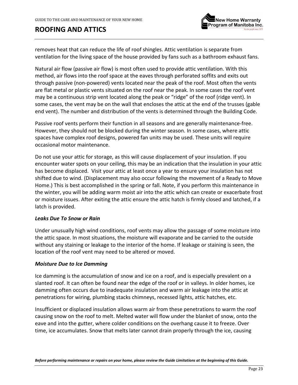

removes heat that can reduce the life of roof shingles. Attic ventilation is separate from ventilation for the living space of the house provided by fans such as a bathroom exhaust fans.

Natural air flow (passive air flow) is most often used to provide attic ventilation. With this method, air flows into the roof space at the eaves through perforated soffits and exits out through passive (non-powered) vents located near the peak of the roof. Most often the vents are flat metal or plastic vents situated on the roof near the peak. In some cases the roof vent may be a continuous strip vent located along the peak or "ridge" of the roof (ridge vent). In some cases, the vent may be on the wall that encloses the attic at the end of the trusses (gable end vent). The number and distribution of the vents is determined through the Building Code.

Passive roof vents perform their function in all seasons and are generally maintenance-free. However, they should not be blocked during the winter season. In some cases, where attic spaces have complex roof designs, powered fan units may be used. These units will require occasional motor maintenance.

Do not use your attic for storage, as this will cause displacement of your insulation. If you encounter water spots on your ceiling, this may be an indication that the insulation in your attic has become displaced. Visit your attic at least once a year to ensure your insulation has not shifted due to wind. (Displacement may also occur following the movement of a Ready to Move Home.) This is best accomplished in the spring or fall. Note, if you perform this maintenance in the winter, you will be adding warm moist air into the attic which can create or exacerbate frost or moisture issues. After exiting the attic ensure the attic hatch is firmly closed and latched, if a latch is provided.

#### *Leaks Due To Snow or Rain*

Under unusually high wind conditions, roof vents may allow the passage of some moisture into the attic space. In most situations, the moisture will evaporate and be carried to the outside without any staining or leakage to the interior of the home. If leakage or staining is seen, the location of the roof vent may need to be altered or moved.

### *Moisture Due to Ice Damming*

Ice damming is the accumulation of snow and ice on a roof, and is especially prevalent on a slanted roof. It can often be found near the edge of the roof or in valleys. In older homes, ice damming often occurs due to inadequate insulation and warm air leakage into the attic at penetrations for wiring, plumbing stacks chimneys, recessed lights, attic hatches, etc.

Insufficient or displaced insulation allows warm air from these penetrations to warm the roof causing snow on the roof to melt. Melted water will flow under the blanket of snow, onto the eave and into the gutter, where colder conditions on the overhang cause it to freeze. Over time, ice accumulates. Snow that melts later cannot drain properly through the ice, causing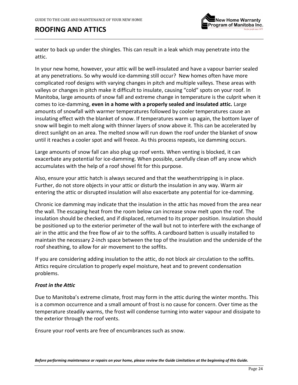

water to back up under the shingles. This can result in a leak which may penetrate into the attic.

In your new home, however, your attic will be well-insulated and have a vapour barrier sealed at any penetrations. So why would ice-damming still occur? New homes often have more complicated roof designs with varying changes in pitch and multiple valleys. These areas with valleys or changes in pitch make it difficult to insulate, causing "cold" spots on your roof. In Manitoba, large amounts of snow fall and extreme change in temperature is the culprit when it comes to ice-damming, **even in a home with a properly sealed and insulated attic.** Large amounts of snowfall with warmer temperatures followed by cooler temperatures cause an insulating effect with the blanket of snow. If temperatures warm up again, the bottom layer of snow will begin to melt along with thinner layers of snow above it. This can be accelerated by direct sunlight on an area. The melted snow will run down the roof under the blanket of snow until it reaches a cooler spot and will freeze. As this process repeats, ice damming occurs.

Large amounts of snow fall can also plug up roof vents. When venting is blocked, it can exacerbate any potential for ice-damming. When possible, carefully clean off any snow which accumulates with the help of a roof shovel fit for this purpose.

Also, ensure your attic hatch is always secured and that the weatherstripping is in place. Further, do not store objects in your attic or disturb the insulation in any way. Warm air entering the attic or disrupted insulation will also exacerbate any potential for ice-damming.

Chronic ice damming may indicate that the insulation in the attic has moved from the area near the wall. The escaping heat from the room below can increase snow melt upon the roof. The insulation should be checked, and if displaced, returned to its proper position. Insulation should be positioned up to the exterior perimeter of the wall but not to interfere with the exchange of air in the attic and the free flow of air to the soffits. A cardboard batten is usually installed to maintain the necessary 2-inch space between the top of the insulation and the underside of the roof sheathing, to allow for air movement to the soffits.

If you are considering adding insulation to the attic, do not block air circulation to the soffits. Attics require circulation to properly expel moisture, heat and to prevent condensation problems.

### *Frost in the Attic*

Due to Manitoba's extreme climate, frost may form in the attic during the winter months. This is a common occurrence and a small amount of frost is no cause for concern. Over time as the temperature steadily warms, the frost will condense turning into water vapour and dissipate to the exterior through the roof vents.

Ensure your roof vents are free of encumbrances such as snow.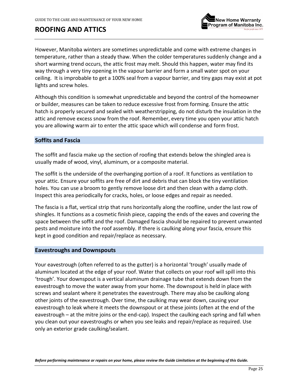However, Manitoba winters are sometimes unpredictable and come with extreme changes in temperature, rather than a steady thaw. When the colder temperatures suddenly change and a short warming trend occurs, the attic frost may melt. Should this happen, water may find its way through a very tiny opening in the vapour barrier and form a small water spot on your ceiling. It is improbable to get a 100% seal from a vapour barrier, and tiny gaps may exist at pot lights and screw holes.

Although this condition is somewhat unpredictable and beyond the control of the homeowner or builder, measures can be taken to reduce excessive frost from forming. Ensure the attic hatch is properly secured and sealed with weatherstripping, do not disturb the insulation in the attic and remove excess snow from the roof. Remember, every time you open your attic hatch you are allowing warm air to enter the attic space which will condense and form frost.

### <span id="page-24-0"></span>**Soffits and Fascia**

The soffit and fascia make up the section of roofing that extends below the shingled area is usually made of wood, vinyl, aluminum, or a composite material.

The soffit is the underside of the overhanging portion of a roof. It functions as ventilation to your attic. Ensure your soffits are free of dirt and debris that can block the tiny ventilation holes. You can use a broom to gently remove loose dirt and then clean with a damp cloth. Inspect this area periodically for cracks, holes, or loose edges and repair as needed.

The fascia is a flat, vertical strip that runs horizontally along the roofline, under the last row of shingles. It functions as a cosmetic finish piece, capping the ends of the eaves and covering the space between the soffit and the roof. Damaged fascia should be repaired to prevent unwanted pests and moisture into the roof assembly. If there is caulking along your fascia, ensure this kept in good condition and repair/replace as necessary.

#### <span id="page-24-1"></span>**Eavestroughs and Downspouts**

Your eavestrough (often referred to as the gutter) is a horizontal 'trough' usually made of aluminum located at the edge of your roof. Water that collects on your roof will spill into this 'trough'. Your downspout is a vertical aluminum drainage tube that extends down from the eavestrough to move the water away from your home. The downspout is held in place with screws and sealant where it penetrates the eavestrough. There may also be caulking along other joints of the eavestrough. Over time, the caulking may wear down, causing your eavestrough to leak where it meets the downspout or at these joints (often at the end of the eavestrough – at the mitre joins or the end-cap). Inspect the caulking each spring and fall when you clean out your eavestroughs or when you see leaks and repair/replace as required. Use only an exterior grade caulking/sealant.

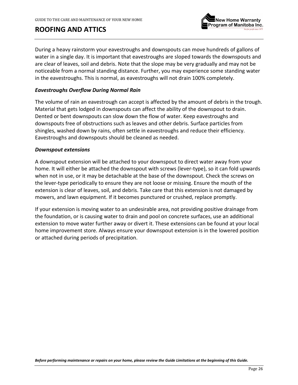ew Home Warranty rogram of Manitoba Inc.

During a heavy rainstorm your eavestroughs and downspouts can move hundreds of gallons of water in a single day. It is important that eavestroughs are sloped towards the downspouts and are clear of leaves, soil and debris. Note that the slope may be very gradually and may not be noticeable from a normal standing distance. Further, you may experience some standing water in the eavestroughs. This is normal, as eavestroughs will not drain 100% completely.

### *Eavestroughs Overflow During Normal Rain*

The volume of rain an eavestrough can accept is affected by the amount of debris in the trough. Material that gets lodged in downspouts can affect the ability of the downspout to drain. Dented or bent downspouts can slow down the flow of water. Keep eavestroughs and downspouts free of obstructions such as leaves and other debris. Surface particles from shingles, washed down by rains, often settle in eavestroughs and reduce their efficiency. Eavestroughs and downspouts should be cleaned as needed.

#### *Downspout extensions*

A downspout extension will be attached to your downspout to direct water away from your home. It will either be attached the downspout with screws (lever-type), so it can fold upwards when not in use, or it may be detachable at the base of the downspout. Check the screws on the lever-type periodically to ensure they are not loose or missing. Ensure the mouth of the extension is clear of leaves, soil, and debris. Take care that this extension is not damaged by mowers, and lawn equipment. If it becomes punctured or crushed, replace promptly.

If your extension is moving water to an undesirable area, not providing positive drainage from the foundation, or is causing water to drain and pool on concrete surfaces, use an additional extension to move water further away or divert it. These extensions can be found at your local home improvement store. Always ensure your downspout extension is in the lowered position or attached during periods of precipitation.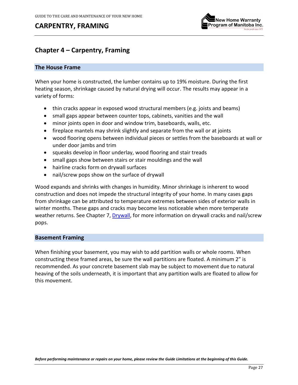# **CARPENTRY, FRAMING**



# <span id="page-26-0"></span>**Chapter 4 – Carpentry, Framing**

### <span id="page-26-1"></span>**The House Frame**

When your home is constructed, the lumber contains up to 19% moisture. During the first heating season, shrinkage caused by natural drying will occur. The results may appear in a variety of forms:

- thin cracks appear in exposed wood structural members (e.g. joists and beams)
- small gaps appear between counter tops, cabinets, vanities and the wall
- minor joints open in door and window trim, baseboards, walls, etc.
- fireplace mantels may shrink slightly and separate from the wall or at joints
- wood flooring opens between individual pieces or settles from the baseboards at wall or under door jambs and trim
- squeaks develop in floor underlay, wood flooring and stair treads
- small gaps show between stairs or stair mouldings and the wall
- hairline cracks form on drywall surfaces
- nail/screw pops show on the surface of drywall

Wood expands and shrinks with changes in humidity. Minor shrinkage is inherent to wood construction and does not impede the structural integrity of your home. In many cases gaps from shrinkage can be attributed to temperature extremes between sides of exterior walls in winter months. These gaps and cracks may become less noticeable when more temperate weather returns. See Chapter 7, [Drywall,](#page-43-0) for more information on drywall cracks and nail/screw pops.

### <span id="page-26-2"></span>**Basement Framing**

When finishing your basement, you may wish to add partition walls or whole rooms. When constructing these framed areas, be sure the wall partitions are floated. A minimum 2" is recommended. As your concrete basement slab may be subject to movement due to natural heaving of the soils underneath, it is important that any partition walls are floated to allow for this movement.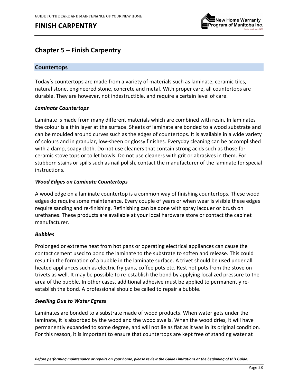

# <span id="page-27-0"></span>**Chapter 5 – Finish Carpentry**

### <span id="page-27-1"></span>**Countertops**

Today's countertops are made from a variety of materials such as laminate, ceramic tiles, natural stone, engineered stone, concrete and metal. With proper care, all countertops are durable. They are however, not indestructible, and require a certain level of care.

### *Laminate Countertops*

Laminate is made from many different materials which are combined with resin. In laminates the colour is a thin layer at the surface. Sheets of laminate are bonded to a wood substrate and can be moulded around curves such as the edges of countertops. It is available in a wide variety of colours and in granular, low-sheen or glossy finishes. Everyday cleaning can be accomplished with a damp, soapy cloth. Do not use cleaners that contain strong acids such as those for ceramic stove tops or toilet bowls. Do not use cleaners with grit or abrasives in them. For stubborn stains or spills such as nail polish, contact the manufacturer of the laminate for special instructions.

### *Wood Edges on Laminate Countertops*

A wood edge on a laminate countertop is a common way of finishing countertops. These wood edges do require some maintenance. Every couple of years or when wear is visible these edges require sanding and re-finishing. Refinishing can be done with spray lacquer or brush on urethanes. These products are available at your local hardware store or contact the cabinet manufacturer.

### *Bubbles*

Prolonged or extreme heat from hot pans or operating electrical appliances can cause the contact cement used to bond the laminate to the substrate to soften and release. This could result in the formation of a bubble in the laminate surface. A trivet should be used under all heated appliances such as electric fry pans, coffee pots etc. Rest hot pots from the stove on trivets as well. It may be possible to re-establish the bond by applying localized pressure to the area of the bubble. In other cases, additional adhesive must be applied to permanently reestablish the bond. A professional should be called to repair a bubble.

### *Swelling Due to Water Egress*

Laminates are bonded to a substrate made of wood products. When water gets under the laminate, it is absorbed by the wood and the wood swells. When the wood dries, it will have permanently expanded to some degree, and will not lie as flat as it was in its original condition. For this reason, it is important to ensure that countertops are kept free of standing water at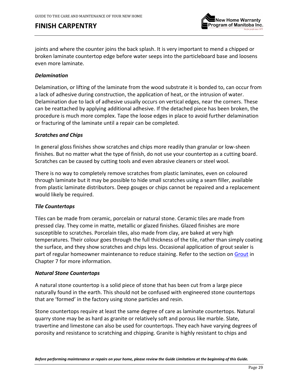

joints and where the counter joins the back splash. It is very important to mend a chipped or broken laminate countertop edge before water seeps into the particleboard base and loosens even more laminate.

### *Delamination*

Delamination, or lifting of the laminate from the wood substrate it is bonded to, can occur from a lack of adhesive during construction, the application of heat, or the intrusion of water. Delamination due to lack of adhesive usually occurs on vertical edges, near the corners. These can be reattached by applying additional adhesive. If the detached piece has been broken, the procedure is much more complex. Tape the loose edges in place to avoid further delamination or fracturing of the laminate until a repair can be completed.

### *Scratches and Chips*

In general gloss finishes show scratches and chips more readily than granular or low-sheen finishes. But no matter what the type of finish, do not use your countertop as a cutting board. Scratches can be caused by cutting tools and even abrasive cleaners or steel wool.

There is no way to completely remove scratches from plastic laminates, even on coloured through laminate but it may be possible to hide small scratches using a seam filler, available from plastic laminate distributors. Deep gouges or chips cannot be repaired and a replacement would likely be required.

#### *Tile Countertops*

Tiles can be made from ceramic, porcelain or natural stone. Ceramic tiles are made from pressed clay. They come in matte, metallic or glazed finishes. Glazed finishes are more susceptible to scratches. Porcelain tiles, also made from clay, are baked at very high temperatures. Their colour goes through the full thickness of the tile, rather than simply coating the surface, and they show scratches and chips less. Occasional application of grout sealer is part of regular homeowner maintenance to reduce staining. Refer to the section on [Grout](#page-46-0) in Chapter 7 for more information.

#### *Natural Stone Countertops*

A natural stone countertop is a solid piece of stone that has been cut from a large piece naturally found in the earth. This should not be confused with engineered stone countertops that are 'formed' in the factory using stone particles and resin.

Stone countertops require at least the same degree of care as laminate countertops. Natural quarry stone may be as hard as granite or relatively soft and porous like marble. Slate, travertine and limestone can also be used for countertops. They each have varying degrees of porosity and resistance to scratching and chipping. Granite is highly resistant to chips and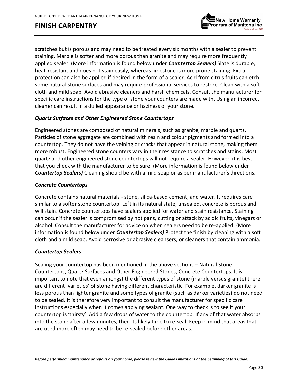

scratches but is porous and may need to be treated every six months with a sealer to prevent staining. Marble is softer and more porous than granite and may require more frequently applied sealer. (More information is found below under *Countertop Sealers)* Slate is durable, heat-resistant and does not stain easily, whereas limestone is more prone staining. Extra protection can also be applied if desired in the form of a sealer. Acid from citrus fruits can etch some natural stone surfaces and may require professional services to restore. Clean with a soft cloth and mild soap. Avoid abrasive cleaners and harsh chemicals. Consult the manufacturer for specific care instructions for the type of stone your counters are made with. Using an incorrect cleaner can result in a dulled appearance or haziness of your stone.

### *Quartz Surfaces and Other Engineered Stone Countertops*

Engineered stones are composed of natural minerals, such as granite, marble and quartz. Particles of stone aggregate are combined with resin and colour pigments and formed into a countertop. They do not have the veining or cracks that appear in natural stone, making them more robust. Engineered stone counters vary in their resistance to scratches and stains. Most quartz and other engineered stone countertops will not require a sealer. However, it is best that you check with the manufacturer to be sure. (More information is found below under *Countertop Sealers)* Cleaning should be with a mild soap or as per manufacturer's directions.

### *Concrete Countertops*

Concrete contains natural materials - stone, silica-based cement, and water. It requires care similar to a softer stone countertop. Left in its natural state, unsealed, concrete is porous and will stain. Concrete countertops have sealers applied for water and stain resistance. Staining can occur if the sealer is compromised by hot pans, cutting or attack by acidic fruits, vinegars or alcohol. Consult the manufacturer for advice on when sealers need to be re-applied. (More information is found below under *Countertop Sealers)* Protect the finish by cleaning with a soft cloth and a mild soap. Avoid corrosive or abrasive cleansers, or cleaners that contain ammonia.

### *Countertop Sealers*

Sealing your countertop has been mentioned in the above sections – Natural Stone Countertops, Quartz Surfaces and Other Engineered Stones, Concrete Countertops. It is important to note that even amongst the different types of stone (marble versus granite) there are different 'varieties' of stone having different characteristic. For example, darker granite is less porous than lighter granite and some types of granite (such as darker varieties) do not need to be sealed. It is therefore very important to consult the manufacturer for specific care instructions especially when it comes applying sealant. One way to check is to see if your countertop is 'thirsty'. Add a few drops of water to the countertop. If any of that water absorbs into the stone after a few minutes, then its likely time to re-seal. Keep in mind that areas that are used more often may need to be re-sealed before other areas.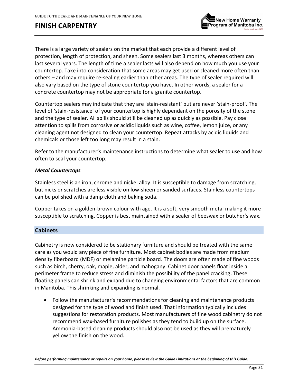

There is a large variety of sealers on the market that each provide a different level of protection, length of protection, and sheen. Some sealers last 3 months, whereas others can last several years. The length of time a sealer lasts will also depend on how much you use your countertop. Take into consideration that some areas may get used or cleaned more often than others – and may require re-sealing earlier than other areas. The type of sealer required will also vary based on the type of stone countertop you have. In other words, a sealer for a concrete countertop may not be appropriate for a granite countertop.

Countertop sealers may indicate that they are 'stain-resistant' but are never 'stain-proof'. The level of 'stain-resistance' of your countertop is highly dependant on the porosity of the stone and the type of sealer. All spills should still be cleaned up as quickly as possible. Pay close attention to spills from corrosive or acidic liquids such as wine, coffee, lemon juice, or any cleaning agent not designed to clean your countertop. Repeat attacks by acidic liquids and chemicals or those left too long may result in a stain.

Refer to the manufacturer's maintenance instructions to determine what sealer to use and how often to seal your countertop.

### *Metal Countertops*

Stainless steel is an iron, chrome and nickel alloy. It is susceptible to damage from scratching, but nicks or scratches are less visible on low-sheen or sanded surfaces. Stainless countertops can be polished with a damp cloth and baking soda.

Copper takes on a golden-brown colour with age. It is a soft, very smooth metal making it more susceptible to scratching. Copper is best maintained with a sealer of beeswax or butcher's wax.

### <span id="page-30-0"></span>**Cabinets**

Cabinetry is now considered to be stationary furniture and should be treated with the same care as you would any piece of fine furniture. Most cabinet bodies are made from medium density fiberboard (MDF) or melamine particle board. The doors are often made of fine woods such as birch, cherry, oak, maple, alder, and mahogany. Cabinet door panels float inside a perimeter frame to reduce stress and diminish the possibility of the panel cracking. These floating panels can shrink and expand due to changing environmental factors that are common in Manitoba. This shrinking and expanding is normal.

• Follow the manufacturer's recommendations for cleaning and maintenance products designed for the type of wood and finish used. That information typically includes suggestions for restoration products. Most manufacturers of fine wood cabinetry do not recommend wax-based furniture polishes as they tend to build up on the surface. Ammonia-based cleaning products should also not be used as they will prematurely yellow the finish on the wood.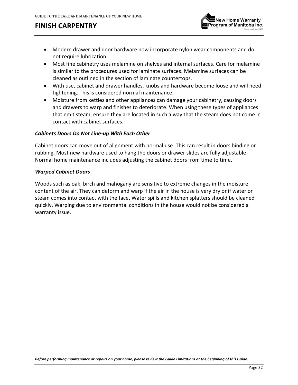

- Modern drawer and door hardware now incorporate nylon wear components and do not require lubrication.
- Most fine cabinetry uses melamine on shelves and internal surfaces. Care for melamine is similar to the procedures used for laminate surfaces. Melamine surfaces can be cleaned as outlined in the section of laminate countertops.
- With use, cabinet and drawer handles, knobs and hardware become loose and will need tightening. This is considered normal maintenance.
- Moisture from kettles and other appliances can damage your cabinetry, causing doors and drawers to warp and finishes to deteriorate. When using these types of appliances that emit steam, ensure they are located in such a way that the steam does not come in contact with cabinet surfaces.

### *Cabinets Doors Do Not Line-up With Each Other*

Cabinet doors can move out of alignment with normal use. This can result in doors binding or rubbing. Most new hardware used to hang the doors or drawer slides are fully adjustable. Normal home maintenance includes adjusting the cabinet doors from time to time.

### *Warped Cabinet Doors*

Woods such as oak, birch and mahogany are sensitive to extreme changes in the moisture content of the air. They can deform and warp if the air in the house is very dry or if water or steam comes into contact with the face. Water spills and kitchen splatters should be cleaned quickly. Warping due to environmental conditions in the house would not be considered a warranty issue.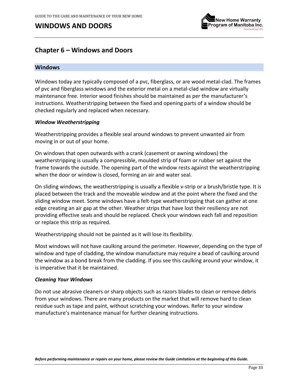

# <span id="page-32-0"></span>**Chapter 6 – Windows and Doors**

#### <span id="page-32-1"></span>**Windows**

Windows today are typically composed of a pvc, fiberglass, or are wood metal-clad. The frames of pvc and fiberglass windows and the exterior metal on a metal-clad window are virtually maintenance free. Interior wood finishes should be maintained as per the manufacturer's instructions. Weatherstripping between the fixed and opening parts of a window should be checked regularly and replaced when necessary.

#### *Window Weatherstripping*

Weatherstripping provides a flexible seal around windows to prevent unwanted air from moving in or out of your home.

On windows that open outwards with a crank (casement or awning windows) the weatherstripping is usually a compressible, moulded strip of foam or rubber set against the frame towards the outside. The opening part of the window rests against the weatherstripping when the door or window is closed, forming an air and water seal.

On sliding windows, the weatherstripping is usually a flexible v-strip or a brush/bristle type. It is placed between the track and the moveable window and at the point where the fixed and the sliding window meet. Some windows have a felt-type weatherstripping that can gather at one edge creating an air gap at the other. Weather strips that have lost their resiliency are not providing effective seals and should be replaced. Check your windows each fall and reposition or replace this strip as required.

Weatherstripping should not be painted as it will lose its flexibility.

Most windows will not have caulking around the perimeter. However, depending on the type of window and type of cladding, the window manufacture may require a bead of caulking around the window as a bond break from the cladding. If you see this caulking around your window, it is imperative that it be maintained.

#### *Cleaning Your Windows*

Do not use abrasive cleaners or sharp objects such as razors blades to clean or remove debris from your windows. There are many products on the market that will remove hard to clean residue such as tape and paint, without scratching your windows. Refer to your window manufacture's maintenance manual for further cleaning instructions.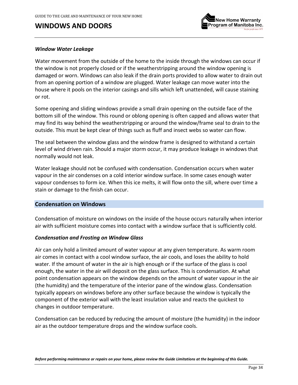

#### *Window Water Leakage*

Water movement from the outside of the home to the inside through the windows can occur if the window is not properly closed or if the weatherstripping around the window opening is damaged or worn. Windows can also leak if the drain ports provided to allow water to drain out from an opening portion of a window are plugged. Water leakage can move water into the house where it pools on the interior casings and sills which left unattended, will cause staining or rot.

Some opening and sliding windows provide a small drain opening on the outside face of the bottom sill of the window. This round or oblong opening is often capped and allows water that may find its way behind the weatherstripping or around the window/frame seal to drain to the outside. This must be kept clear of things such as fluff and insect webs so water can flow.

The seal between the window glass and the window frame is designed to withstand a certain level of wind driven rain. Should a major storm occur, it may produce leakage in windows that normally would not leak.

Water leakage should not be confused with condensation. Condensation occurs when water vapour in the air condenses on a cold interior window surface. In some cases enough water vapour condenses to form ice. When this ice melts, it will flow onto the sill, where over time a stain or damage to the finish can occur.

#### **Condensation on Windows**

Condensation of moisture on windows on the inside of the house occurs naturally when interior air with sufficient moisture comes into contact with a window surface that is sufficiently cold.

#### *Condensation and Frosting on Window Glass*

Air can only hold a limited amount of water vapour at any given temperature. As warm room air comes in contact with a cool window surface, the air cools, and loses the ability to hold water. If the amount of water in the air is high enough or if the surface of the glass is cool enough, the water in the air will deposit on the glass surface. This is condensation. At what point condensation appears on the window depends on the amount of water vapour in the air (the humidity) and the temperature of the interior pane of the window glass. Condensation typically appears on windows before any other surface because the window is typically the component of the exterior wall with the least insulation value and reacts the quickest to changes in outdoor temperature.

Condensation can be reduced by reducing the amount of moisture (the humidity) in the indoor air as the outdoor temperature drops and the window surface cools.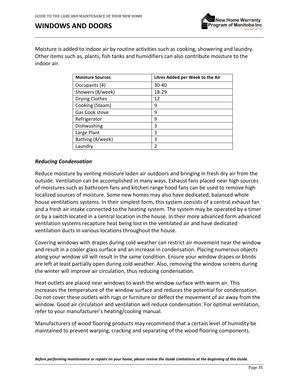

Moisture is added to indoor air by routine activities such as cooking, showering and laundry. Other items such as, plants, fish tanks and humidifiers can also contribute moisture to the indoor air.

| <b>Moisture Sources</b> | Litres Added per Week to the Air |
|-------------------------|----------------------------------|
| Occupants (4)           | $30 - 40$                        |
| Showers (8/week)        | 18-29                            |
| <b>Drying Clothes</b>   | 12                               |
| Cooking (Steam)         | 9                                |
| Gas Cook stove          | 9                                |
| Refrigerator            | 9                                |
| Dishwashing             | 3                                |
| Large Plant             | 3                                |
| Bathing (8/week)        | 3                                |
| Laundry                 | 2                                |

### *Reducing Condensation*

Reduce moisture by venting moisture laden air outdoors and bringing in fresh dry air from the outside. Ventilation can be accomplished in many ways. Exhaust fans placed near high sources of moistures such as bathroom fans and kitchen range hood fans can be used to remove high localized sources of moisture. Some new homes may also have dedicated, balanced whole house ventilations systems. In their simplest form, this system consists of a central exhaust fan and a fresh air intake connected to the heating system. The system may be operated by a timer or by a switch located in a central location in the house. In their more advanced form advanced ventilation systems recapture heat being lost in the ventilated air and have dedicated ventilation ducts in various locations throughout the house.

Covering windows with drapes during cold weather can restrict air movement near the window and result in a cooler glass surface and an increase in condensation. Placing numerous objects along your window sill will result in the same condition. Ensure your window drapes or blinds are left at least partially open during cold weather. Also, removing the window screens during the winter will improve air circulation, thus reducing condensation.

Heat outlets are placed near windows to wash the window surface with warm air. This increases the temperature of the window surface and reduces the potential for condensation. Do not cover these outlets with rugs or furniture or deflect the movement of air away from the window. Good air circulation and ventilation will reduce condensation. For optimal ventilation, refer to your manufacturer's heating/cooling manual.

Manufacturers of wood flooring products may recommend that a certain level of humidity be maintained to prevent warping, cracking and separating of the wood flooring components.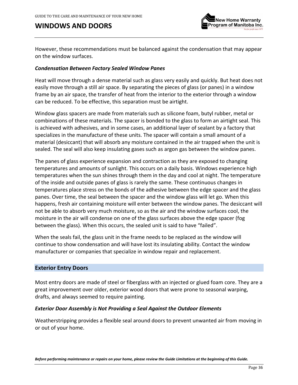

However, these recommendations must be balanced against the condensation that may appear on the window surfaces.

#### *Condensation Between Factory Sealed Window Panes*

Heat will move through a dense material such as glass very easily and quickly. But heat does not easily move through a still air space. By separating the pieces of glass (or panes) in a window frame by an air space, the transfer of heat from the interior to the exterior through a window can be reduced. To be effective, this separation must be airtight.

Window glass spacers are made from materials such as silicone foam, butyl rubber, metal or combinations of these materials. The spacer is bonded to the glass to form an airtight seal. This is achieved with adhesives, and in some cases, an additional layer of sealant by a factory that specializes in the manufacture of these units. The spacer will contain a small amount of a material (desiccant) that will absorb any moisture contained in the air trapped when the unit is sealed. The seal will also keep insulating gases such as argon gas between the window panes.

The panes of glass experience expansion and contraction as they are exposed to changing temperatures and amounts of sunlight. This occurs on a daily basis. Windows experience high temperatures when the sun shines through them in the day and cool at night. The temperature of the inside and outside panes of glass is rarely the same. These continuous changes in temperatures place stress on the bonds of the adhesive between the edge spacer and the glass panes. Over time, the seal between the spacer and the window glass will let go. When this happens, fresh air containing moisture will enter between the window panes. The desiccant will not be able to absorb very much moisture, so as the air and the window surfaces cool, the moisture in the air will condense on one of the glass surfaces above the edge spacer (fog between the glass). When this occurs, the sealed unit is said to have "failed".

When the seals fail, the glass unit in the frame needs to be replaced as the window will continue to show condensation and will have lost its insulating ability. Contact the window manufacturer or companies that specialize in window repair and replacement.

#### <span id="page-35-0"></span>**Exterior Entry Doors**

Most entry doors are made of steel or fiberglass with an injected or glued foam core. They are a great improvement over older, exterior wood doors that were prone to seasonal warping, drafts, and always seemed to require painting.

#### *Exterior Door Assembly is Not Providing a Seal Against the Outdoor Elements*

Weatherstripping provides a flexible seal around doors to prevent unwanted air from moving in or out of your home.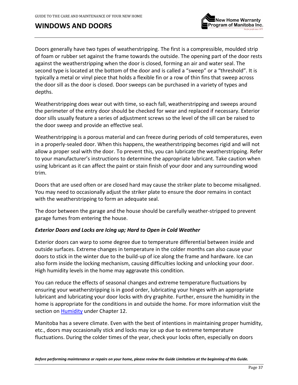# **WINDOWS AND DOORS**



Doors generally have two types of weatherstripping. The first is a compressible, moulded strip of foam or rubber set against the frame towards the outside. The opening part of the door rests against the weatherstripping when the door is closed, forming an air and water seal. The second type is located at the bottom of the door and is called a "sweep" or a "threshold". It is typically a metal or vinyl piece that holds a flexible fin or a row of thin fins that sweep across the door sill as the door is closed. Door sweeps can be purchased in a variety of types and depths.

Weatherstripping does wear out with time, so each fall, weatherstripping and sweeps around the perimeter of the entry door should be checked for wear and replaced if necessary. Exterior door sills usually feature a series of adjustment screws so the level of the sill can be raised to the door sweep and provide an effective seal.

Weatherstripping is a porous material and can freeze during periods of cold temperatures, even in a properly-sealed door. When this happens, the weatherstripping becomes rigid and will not allow a proper seal with the door. To prevent this, you can lubricate the weatherstripping. Refer to your manufacturer's instructions to determine the appropriate lubricant. Take caution when using lubricant as it can affect the paint or stain finish of your door and any surrounding wood trim.

Doors that are used often or are closed hard may cause the striker plate to become misaligned. You may need to occasionally adjust the striker plate to ensure the door remains in contact with the weatherstripping to form an adequate seal.

The door between the garage and the house should be carefully weather-stripped to prevent garage fumes from entering the house.

### <span id="page-36-0"></span>*Exterior Doors and Locks are Icing up; Hard to Open in Cold Weather*

Exterior doors can warp to some degree due to temperature differential between inside and outside surfaces. Extreme changes in temperature in the colder months can also cause your doors to stick in the winter due to the build-up of ice along the frame and hardware. Ice can also form inside the locking mechanism, causing difficulties locking and unlocking your door. High humidity levels in the home may aggravate this condition.

You can reduce the effects of seasonal changes and extreme temperature fluctuations by ensuring your weatherstripping is in good order, lubricating your hinges with an appropriate lubricant and lubricating your door locks with dry graphite. Further, ensure the humidity in the home is appropriate for the conditions in and outside the home. For more information visit the section on **Humidity** under Chapter 12.

Manitoba has a severe climate. Even with the best of intentions in maintaining proper humidity, etc., doors may occasionally stick and locks may ice up due to extreme temperature fluctuations. During the colder times of the year, check your locks often, especially on doors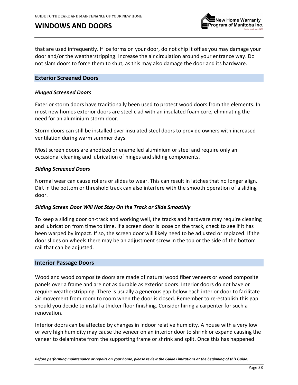# **WINDOWS AND DOORS**



that are used infrequently. If ice forms on your door, do not chip it off as you may damage your door and/or the weatherstripping. Increase the air circulation around your entrance way. Do not slam doors to force them to shut, as this may also damage the door and its hardware.

### **Exterior Screened Doors**

#### *Hinged Screened Doors*

Exterior storm doors have traditionally been used to protect wood doors from the elements. In most new homes exterior doors are steel clad with an insulated foam core, eliminating the need for an aluminium storm door.

Storm doors can still be installed over insulated steel doors to provide owners with increased ventilation during warm summer days.

Most screen doors are anodized or enamelled aluminium or steel and require only an occasional cleaning and lubrication of hinges and sliding components.

#### *Sliding Screened Doors*

Normal wear can cause rollers or slides to wear. This can result in latches that no longer align. Dirt in the bottom or threshold track can also interfere with the smooth operation of a sliding door.

#### *Sliding Screen Door Will Not Stay On the Track or Slide Smoothly*

To keep a sliding door on-track and working well, the tracks and hardware may require cleaning and lubrication from time to time. If a screen door is loose on the track, check to see if it has been warped by impact. If so, the screen door will likely need to be adjusted or replaced. If the door slides on wheels there may be an adjustment screw in the top or the side of the bottom rail that can be adjusted.

#### <span id="page-37-0"></span>**Interior Passage Doors**

Wood and wood composite doors are made of natural wood fiber veneers or wood composite panels over a frame and are not as durable as exterior doors. Interior doors do not have or require weatherstripping. There is usually a generous gap below each interior door to facilitate air movement from room to room when the door is closed. Remember to re-establish this gap should you decide to install a thicker floor finishing. Consider hiring a carpenter for such a renovation.

Interior doors can be affected by changes in indoor relative humidity. A house with a very low or very high humidity may cause the veneer on an interior door to shrink or expand causing the veneer to delaminate from the supporting frame or shrink and split. Once this has happened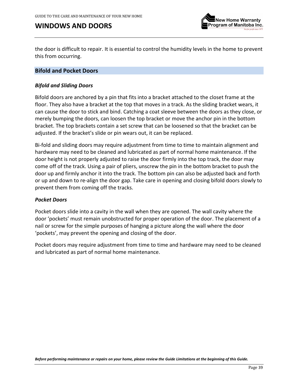# **WINDOWS AND DOORS**



the door is difficult to repair. It is essential to control the humidity levels in the home to prevent this from occurring.

#### **Bifold and Pocket Doors**

#### *Bifold and Sliding Doors*

Bifold doors are anchored by a pin that fits into a bracket attached to the closet frame at the floor. They also have a bracket at the top that moves in a track. As the sliding bracket wears, it can cause the door to stick and bind. Catching a coat sleeve between the doors as they close, or merely bumping the doors, can loosen the top bracket or move the anchor pin in the bottom bracket. The top brackets contain a set screw that can be loosened so that the bracket can be adjusted. If the bracket's slide or pin wears out, it can be replaced.

Bi-fold and sliding doors may require adjustment from time to time to maintain alignment and hardware may need to be cleaned and lubricated as part of normal home maintenance. If the door height is not properly adjusted to raise the door firmly into the top track, the door may come off of the track. Using a pair of pliers, unscrew the pin in the bottom bracket to push the door up and firmly anchor it into the track. The bottom pin can also be adjusted back and forth or up and down to re-align the door gap. Take care in opening and closing bifold doors slowly to prevent them from coming off the tracks.

#### *Pocket Doors*

Pocket doors slide into a cavity in the wall when they are opened. The wall cavity where the door 'pockets' must remain unobstructed for proper operation of the door. The placement of a nail or screw for the simple purposes of hanging a picture along the wall where the door 'pockets', may prevent the opening and closing of the door.

Pocket doors may require adjustment from time to time and hardware may need to be cleaned and lubricated as part of normal home maintenance.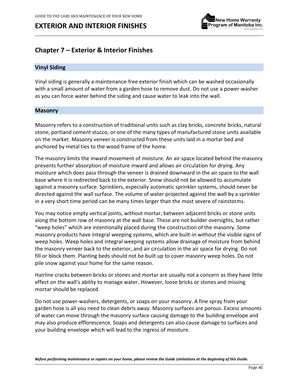

# **Chapter 7 – Exterior & Interior Finishes**

### **Vinyl Siding**

Vinyl siding is generally a maintenance-free exterior finish which can be washed occasionally with a small amount of water from a garden hose to remove dust. Do not use a power-washer as you can force water behind the siding and cause water to leak into the wall.

#### **Masonry**

Masonry refers to a construction of traditional units such as clay bricks, concrete bricks, natural stone, portland cement stucco, or one of the many types of manufactured stone units available on the market. Masonry veneer is constructed from these units laid in a mortar bed and anchored by metal ties to the wood frame of the home.

The masonry limits the inward movement of moisture. An air space located behind the masonry prevents further absorption of moisture inward and allows air circulation for drying. Any moisture which does pass through the veneer is drained downward in the air space to the wall base where it is redirected back to the exterior. Snow should not be allowed to accumulate against a masonry surface. Sprinklers, especially automatic sprinkler systems, should never be directed against the wall surface. The volume of water projected against the wall by a sprinkler in a very short time period can be many times larger than the most severe of rainstorms.

You may notice empty vertical joints, without mortar, between adjacent bricks or stone units along the bottom row of masonry at the wall base. These are not builder oversights, but rather "weep holes" which are intentionally placed during the construction of the masonry. Some masonry products have integral weeping systems, which are built-in without the visible signs of weep holes. Weep holes and integral weeping systems allow drainage of moisture from behind the masonry veneer back to the exterior, and air circulation in the air space for drying. Do not fill or block them. Planting beds should not be built up to cover masonry weep holes. Do not pile snow against your home for the same reason.

Hairline cracks between bricks or stones and mortar are usually not a concern as they have little effect on the wall's ability to manage water. However, loose bricks or stones and missing mortar should be replaced.

Do not use power-washers, detergents, or soaps on your masonry. A fine spray from your garden hose is all you need to clean debris away. Masonry surfaces are porous. Excess amounts of water can move through the masonry surface causing damage to the building envelope and may also produce efflorescence. Soaps and detergents can also cause damage to surfaces and your building envelope which will lead to the ingress of moisture.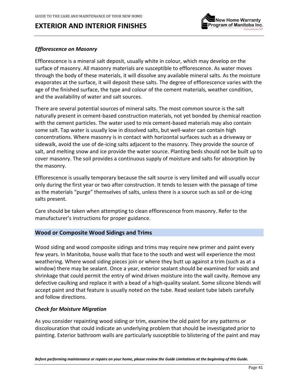

### <span id="page-40-0"></span>*Efflorescence on Masonry*

Efflorescence is a mineral salt deposit, usually white in colour, which may develop on the surface of masonry. All masonry materials are susceptible to efflorescence. As water moves through the body of these materials, it will dissolve any available mineral salts. As the moisture evaporates at the surface, it will deposit these salts. The degree of efflorescence varies with the age of the finished surface, the type and colour of the cement materials, weather condition, and the availability of water and salt sources.

There are several potential sources of mineral salts. The most common source is the salt naturally present in cement-based construction materials, not yet bonded by chemical reaction with the cement particles. The water used to mix cement-based materials may also contain some salt. Tap water is usually low in dissolved salts, but well-water can contain high concentrations. Where masonry is in contact with horizontal surfaces such as a driveway or sidewalk, avoid the use of de-icing salts adjacent to the masonry. They provide the source of salt, and melting snow and ice provide the water source. Planting beds should not be built up to cover masonry. The soil provides a continuous supply of moisture and salts for absorption by the masonry.

Efflorescence is usually temporary because the salt source is very limited and will usually occur only during the first year or two after construction. It tends to lessen with the passage of time as the materials "purge" themselves of salts, unless there is a source such as soil or de-icing salts present.

Care should be taken when attempting to clean efflorescence from masonry. Refer to the manufacturer's instructions for proper guidance.

### **Wood or Composite Wood Sidings and Trims**

Wood siding and wood composite sidings and trims may require new primer and paint every few years. In Manitoba, house walls that face to the south and west will experience the most weathering. Where wood siding pieces join or where they butt up against a trim (such as at a window) there may be sealant. Once a year, exterior sealant should be examined for voids and shrinkage that could permit the entry of wind driven moisture into the wall cavity. Remove any defective caulking and replace it with a bead of a high-quality sealant. Some silicone blends will accept paint and that feature is usually noted on the tube. Read sealant tube labels carefully and follow directions.

### *Check for Moisture Migration*

As you consider repainting wood siding or trim, examine the old paint for any patterns or discolouration that could indicate an underlying problem that should be investigated prior to painting. Exterior bathroom walls are particularly susceptible to blistering of the paint and may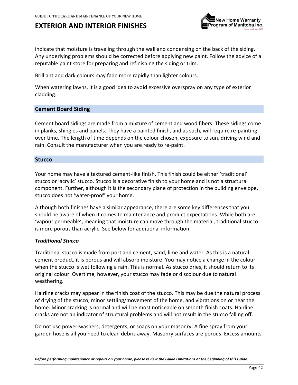

indicate that moisture is traveling through the wall and condensing on the back of the siding. Any underlying problems should be corrected before applying new paint. Follow the advice of a reputable paint store for preparing and refinishing the siding or trim.

Brilliant and dark colours may fade more rapidly than lighter colours.

When watering lawns, it is a good idea to avoid excessive overspray on any type of exterior cladding.

#### **Cement Board Siding**

Cement board sidings are made from a mixture of cement and wood fibers. These sidings come in planks, shingles and panels. They have a painted finish, and as such, will require re-painting over time. The length of time depends on the colour chosen, exposure to sun, driving wind and rain. Consult the manufacturer when you are ready to re-paint.

#### <span id="page-41-0"></span>**Stucco**

Your home may have a textured cement-like finish. This finish could be either 'traditional' stucco or 'acrylic' stucco. Stucco is a decorative finish to your home and is not a structural component. Further, although it is the secondary plane of protection in the building envelope, stucco does not 'water-proof' your home.

Although both finishes have a similar appearance, there are some key differences that you should be aware of when it comes to maintenance and product expectations. While both are 'vapour permeable', meaning that moisture can move through the material, traditional stucco is more porous than acrylic. See below for additional information.

#### *Traditional Stucco*

Traditional stucco is made from portland cement, sand, lime and water. As this is a natural cement product, it is porous and will absorb moisture. You may notice a change in the colour when the stucco is wet following a rain. This is normal. As stucco dries, it should return to its original colour. Overtime, however, your stucco may fade or discolour due to natural weathering.

Hairline cracks may appear in the finish coat of the stucco. This may be due the natural process of drying of the stucco, minor settling/movement of the home, and vibrations on or near the home. Minor cracking is normal and will be most noticeable on smooth finish coats. Hairline cracks are not an indicator of structural problems and will not result in the stucco falling off.

Do not use power-washers, detergents, or soaps on your masonry. A fine spray from your garden hose is all you need to clean debris away. Masonry surfaces are porous. Excess amounts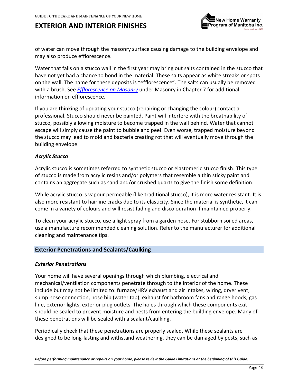

of water can move through the masonry surface causing damage to the building envelope and may also produce efflorescence.

Water that falls on a stucco wall in the first year may bring out salts contained in the stucco that have not yet had a chance to bond in the material. These salts appear as white streaks or spots on the wall. The name for these deposits is "efflorescence". The salts can usually be removed with a brush. See *[Efflorescence](#page-40-0) on Masonry* under Masonry in Chapter 7 for additional information on efflorescence.

If you are thinking of updating your stucco (repairing or changing the colour) contact a professional. Stucco should never be painted. Paint will interfere with the breathability of stucco, possibly allowing moisture to become trapped in the wall behind. Water that cannot escape will simply cause the paint to bubble and peel. Even worse, trapped moisture beyond the stucco may lead to mold and bacteria creating rot that will eventually move through the building envelope.

### *Acrylic Stucco*

Acrylic stucco is sometimes referred to synthetic stucco or elastomeric stucco finish. This type of stucco is made from acrylic resins and/or polymers that resemble a thin sticky paint and contains an aggregate such as sand and/or crushed quartz to give the finish some definition.

While acrylic stucco is vapour permeable (like traditional stucco), it is more water resistant. It is also more resistant to hairline cracks due to its elasticity. Since the material is synthetic, it can come in a variety of colours and will resist fading and discolouration if maintained properly.

To clean your acrylic stucco, use a light spray from a garden hose. For stubborn soiled areas, use a manufacture recommended cleaning solution. Refer to the manufacturer for additional cleaning and maintenance tips.

### **Exterior Penetrations and Sealants/Caulking**

#### *Exterior Penetrations*

Your home will have several openings through which plumbing, electrical and mechanical/ventilation components penetrate through to the interior of the home. These include but may not be limited to: furnace/HRV exhaust and air intakes, wiring, dryer vent, sump hose connection, hose bib (water tap), exhaust for bathroom fans and range hoods, gas line, exterior lights, exterior plug outlets. The holes through which these components exit should be sealed to prevent moisture and pests from entering the building envelope. Many of these penetrations will be sealed with a sealant/caulking.

Periodically check that these penetrations are properly sealed. While these sealants are designed to be long-lasting and withstand weathering, they can be damaged by pests, such as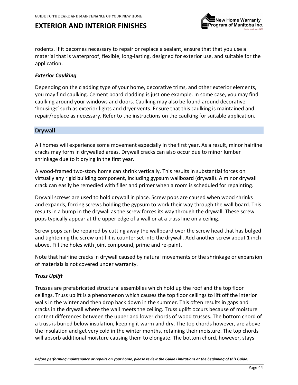

rodents. If it becomes necessary to repair or replace a sealant, ensure that that you use a material that is waterproof, flexible, long-lasting, designed for exterior use, and suitable for the application.

### *Exterior Caulking*

Depending on the cladding type of your home, decorative trims, and other exterior elements, you may find caulking. Cement board cladding is just one example. In some case, you may find caulking around your windows and doors. Caulking may also be found around decorative 'housings' such as exterior lights and dryer vents. Ensure that this caulking is maintained and repair/replace as necessary. Refer to the instructions on the caulking for suitable application.

#### **Drywall**

All homes will experience some movement especially in the first year. As a result, minor hairline cracks may form in drywalled areas. Drywall cracks can also occur due to minor lumber shrinkage due to it drying in the first year.

A wood-framed two-story home can shrink vertically. This results in substantial forces on virtually any rigid building component, including gypsum wallboard (drywall). A minor drywall crack can easily be remedied with filler and primer when a room is scheduled for repainting.

Drywall screws are used to hold drywall in place. Screw pops are caused when wood shrinks and expands, forcing screws holding the gypsum to work their way through the wall board. This results in a bump in the drywall as the screw forces its way through the drywall. These screw pops typically appear at the upper edge of a wall or at a truss line on a ceiling.

Screw pops can be repaired by cutting away the wallboard over the screw head that has bulged and tightening the screw until it is counter set into the drywall. Add another screw about 1 inch above. Fill the holes with joint compound, prime and re-paint.

Note that hairline cracks in drywall caused by natural movements or the shrinkage or expansion of materials is not covered under warranty.

#### *Truss Uplift*

Trusses are prefabricated structural assemblies which hold up the roof and the top floor ceilings. Truss uplift is a phenomenon which causes the top floor ceilings to lift off the interior walls in the winter and then drop back down in the summer. This often results in gaps and cracks in the drywall where the wall meets the ceiling. Truss uplift occurs because of moisture content differences between the upper and lower chords of wood trusses. The bottom chord of a truss is buried below insulation, keeping it warm and dry. The top chords however, are above the insulation and get very cold in the winter months, retaining their moisture. The top chords will absorb additional moisture causing them to elongate. The bottom chord, however, stays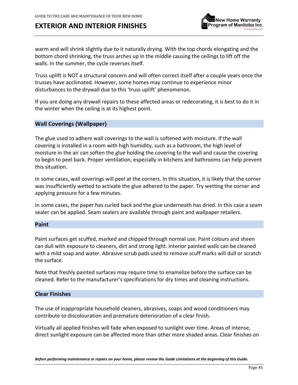

warm and will shrink slightly due to it naturally drying. With the top chords elongating and the bottom chord shrinking, the truss arches up in the middle causing the ceilings to lift off the walls. In the summer, the cycle reverses itself.

Truss uplift is NOT a structural concern and will often correct itself after a couple years once the trusses have acclimated. However, some homes may continue to experience minor disturbances to the drywall due to this 'truss uplift' phenomenon.

If you are doing any drywall repairs to these affected areas or redecorating, it is best to do it in the winter when the ceiling is at its highest point.

### <span id="page-44-0"></span>**Wall Coverings (Wallpaper)**

The glue used to adhere wall coverings to the wall is softened with moisture. If the wall covering is installed in a room with high humidity, such as a bathroom, the high level of moisture in the air can soften the glue holding the covering to the wall and cause the covering to begin to peel back. Proper ventilation, especially in kitchens and bathrooms can help prevent this situation.

In some cases, wall coverings will peel at the corners. In this situation, it is likely that the corner was insufficiently wetted to activate the glue adhered to the paper. Try wetting the corner and applying pressure for a few minutes.

In some cases, the paper has curled back and the glue underneath has dried. In this case a seam sealer can be applied. Seam sealers are available through paint and wallpaper retailers.

#### **Paint**

Paint surfaces get scuffed, marked and chipped through normal use. Paint colours and sheen can dull with exposure to cleaners, dirt and strong light. Interior painted walls can be cleaned with a mild soap and water. Abrasive scrub pads used to remove scuff marks will dull or scratch the surface.

Note that freshly painted surfaces may require time to enamelize before the surface can be cleaned. Refer to the manufacturer's specifications for dry times and cleaning instructions.

### **Clear Finishes**

The use of inappropriate household cleaners, abrasives, soaps and wood conditioners may contribute to discolouration and premature deterioration of a clear finish.

Virtually all applied finishes will fade when exposed to sunlight over time. Areas of intense, direct sunlight exposure can be affected more than other more shaded areas. Clear finishes on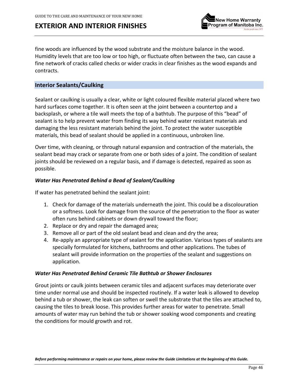

fine woods are influenced by the wood substrate and the moisture balance in the wood. Humidity levels that are too low or too high, or fluctuate often between the two, can cause a fine network of cracks called checks or wider cracks in clear finishes as the wood expands and contracts.

### **Interior Sealants/Caulking**

Sealant or caulking is usually a clear, white or light coloured flexible material placed where two hard surfaces come together. It is often seen at the joint between a countertop and a backsplash, or where a tile wall meets the top of a bathtub. The purpose of this "bead" of sealant is to help prevent water from finding its way behind water resistant materials and damaging the less resistant materials behind the joint. To protect the water susceptible materials, this bead of sealant should be applied in a continuous, unbroken line.

Over time, with cleaning, or through natural expansion and contraction of the materials, the sealant bead may crack or separate from one or both sides of a joint. The condition of sealant joints should be reviewed on a regular basis, and if damage is detected, repaired as soon as possible.

#### *Water Has Penetrated Behind a Bead of Sealant/Caulking*

If water has penetrated behind the sealant joint:

- 1. Check for damage of the materials underneath the joint. This could be a discolouration or a softness. Look for damage from the source of the penetration to the floor as water often runs behind cabinets or down drywall toward the floor;
- 2. Replace or dry and repair the damaged area;
- 3. Remove all or part of the old sealant bead and clean and dry the area;
- 4. Re-apply an appropriate type of sealant for the application. Various types of sealants are specially formulated for kitchens, bathrooms and other applications. The tubes of sealant will provide information on the properties of the sealant and suggestions on application.

#### *Water Has Penetrated Behind Ceramic Tile Bathtub or Shower Enclosures*

Grout joints or caulk joints between ceramic tiles and adjacent surfaces may deteriorate over time under normal use and should be inspected routinely. If a water leak is allowed to develop behind a tub or shower, the leak can soften or swell the substrate that the tiles are attached to, causing the tiles to break loose. This provides further areas for water to penetrate. Small amounts of water may run behind the tub or shower soaking wood components and creating the conditions for mould growth and rot.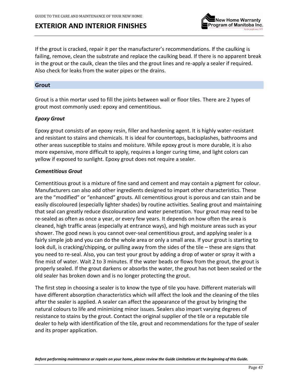

If the grout is cracked, repair it per the manufacturer's recommendations. If the caulking is failing, remove, clean the substrate and replace the caulking bead. If there is no apparent break in the grout or the caulk, clean the tiles and the grout lines and re-apply a sealer if required. Also check for leaks from the water pipes or the drains.

#### <span id="page-46-0"></span>**Grout**

Grout is a thin mortar used to fill the joints between wall or floor tiles. There are 2 types of grout most commonly used: epoxy and cementitious.

#### *Epoxy Grout*

Epoxy grout consists of an epoxy resin, filler and hardening agent. It is highly water-resistant and resistant to stains and chemicals. It is ideal for countertops, backsplashes, bathrooms and other areas susceptible to stains and moisture. While epoxy grout is more durable, it is also more expensive, more difficult to apply, requires a longer curing time, and light colors can yellow if exposed to sunlight. Epoxy grout does not require a sealer.

#### *Cementitious Grout*

Cementitious grout is a mixture of fine sand and cement and may contain a pigment for colour. Manufacturers can also add other ingredients designed to impart other characteristics. These are the "modified" or "enhanced" grouts. All cementitious grout is porous and can stain and be easily discoloured (especially lighter shades) by routine activities. Sealing grout and maintaining that seal can greatly reduce discolouration and water penetration. Your grout may need to be re-sealed as often as once a year, or every few years. It depends on how often the area is cleaned, high traffic areas (especially at entrance ways), and high moisture areas such as your shower. The good news is you cannot over-seal cementitious grout, and applying sealer is a fairly simple job and you can do the whole area or only a small area. If your grout is starting to look dull, is cracking/chipping, or pulling away from the sides of the tile – these are signs that you need to re-seal. Also, you can test your grout by adding a drop of water or spray it with a fine mist of water. Wait 2 to 3 minutes. If the water beads or flows from the grout, the grout is properly sealed. If the grout darkens or absorbs the water, the grout has not been sealed or the old sealer has broken down and is no longer protecting the grout.

The first step in choosing a sealer is to know the type of tile you have. Different materials will have different absorption characteristics which will affect the look and the cleaning of the tiles after the sealer is applied. A sealer can affect the appearance of the grout by bringing the natural colours to life and minimizing minor issues. Sealers also impart varying degrees of resistance to stains by the grout. Contact the original supplier of the tile or a reputable tile dealer to help with identification of the tile, grout and recommendations for the type of sealer and its proper application.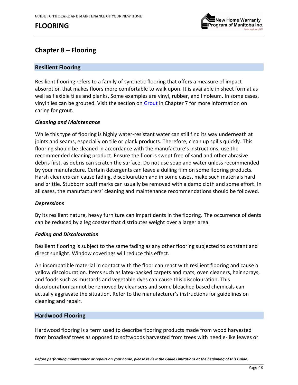

## **Chapter 8 – Flooring**

### **Resilient Flooring**

Resilient flooring refers to a family of synthetic flooring that offers a measure of impact absorption that makes floors more comfortable to walk upon. It is available in sheet format as well as flexible tiles and planks. Some examples are vinyl, rubber, and linoleum. In some cases, vinyl tiles can be grouted. Visit the section on [Grout](#page-46-0) in Chapter 7 for more information on caring for grout.

#### *Cleaning and Maintenance*

While this type of flooring is highly water-resistant water can still find its way underneath at joints and seams, especially on tile or plank products. Therefore, clean up spills quickly. This flooring should be cleaned in accordance with the manufacture's instructions, use the recommended cleaning product. Ensure the floor is swept free of sand and other abrasive debris first, as debris can scratch the surface. Do not use soap and water unless recommended by your manufacture. Certain detergents can leave a dulling film on some flooring products. Harsh cleaners can cause fading, discolouration and in some cases, make such materials hard and brittle. Stubborn scuff marks can usually be removed with a damp cloth and some effort. In all cases, the manufacturers' cleaning and maintenance recommendations should be followed.

#### *Depressions*

By its resilient nature, heavy furniture can impart dents in the flooring. The occurrence of dents can be reduced by a leg coaster that distributes weight over a larger area.

#### *Fading and Discolouration*

Resilient flooring is subject to the same fading as any other flooring subjected to constant and direct sunlight. Window coverings will reduce this effect.

An incompatible material in contact with the floor can react with resilient flooring and cause a yellow discolouration. Items such as latex-backed carpets and mats, oven cleaners, hair sprays, and foods such as mustards and vegetable dyes can cause this discolouration. This discolouration cannot be removed by cleansers and some bleached based chemicals can actually aggravate the situation. Refer to the manufacturer's instructions for guidelines on cleaning and repair.

#### **Hardwood Flooring**

Hardwood flooring is a term used to describe flooring products made from wood harvested from broadleaf trees as opposed to softwoods harvested from trees with needle-like leaves or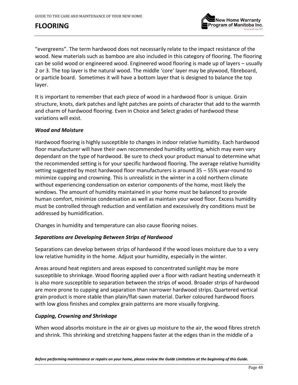

"evergreens". The term hardwood does not necessarily relate to the impact resistance of the wood. New materials such as bamboo are also included in this category of flooring. The flooring can be solid wood or engineered wood. Engineered wood flooring is made up of layers – usually 2 or 3. The top layer is the natural wood. The middle 'core' layer may be plywood, fibreboard, or particle board. Sometimes it will have a bottom layer that is designed to balance the top layer.

It is important to remember that each piece of wood in a hardwood floor is unique. Grain structure, knots, dark patches and light patches are points of character that add to the warmth and charm of hardwood flooring. Even in Choice and Select grades of hardwood these variations will exist.

#### <span id="page-48-1"></span>*Wood and Moisture*

Hardwood flooring is highly susceptible to changes in indoor relative humidity. Each hardwood floor manufacturer will have their own recommended humidity setting, which may even vary dependant on the type of hardwood. Be sure to check your product manual to determine what the recommended setting is for your specific hardwood flooring. The average relative humidity setting suggested by most hardwood floor manufacturers is around 35 – 55% year-round to minimize cupping and crowning. This is unrealistic in the winter in a cold northern climate without experiencing condensation on exterior components of the home, most likely the windows. The amount of humidity maintained in your home must be balanced to provide human comfort, minimize condensation as well as maintain your wood floor. Excess humidity must be controlled through reduction and ventilation and excessively dry conditions must be addressed by humidification.

Changes in humidity and temperature can also cause flooring noises.

### *Separations are Developing Between Strips of Hardwood*

Separations can develop between strips of hardwood if the wood loses moisture due to a very low relative humidity in the home. Adjust your humidity, especially in the winter.

Areas around heat registers and areas exposed to concentrated sunlight may be more susceptible to shrinkage. Wood flooring applied over a floor with radiant heating underneath it is also more susceptible to separation between the strips of wood. Broader strips of hardwood are more prone to cupping and separation than narrower hardwood strips. Quartered vertical grain product is more stable than plain/flat-sawn material. Darker coloured hardwood floors with low gloss finishes and complex grain patterns are more visually forgiving.

### <span id="page-48-0"></span>*Cupping, Crowning and Shrinkage*

When wood absorbs moisture in the air or gives up moisture to the air, the wood fibres stretch and shrink. This shrinking and stretching happens faster at the edges than in the middle of a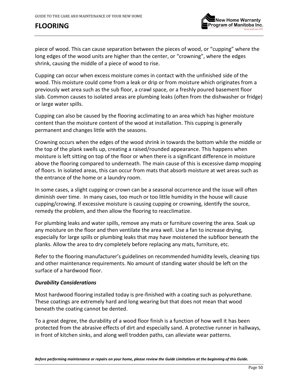

piece of wood. This can cause separation between the pieces of wood, or "cupping" where the long edges of the wood units are higher than the center, or "crowning", where the edges shrink, causing the middle of a piece of wood to rise.

Cupping can occur when excess moisture comes in contact with the unfinished side of the wood. This moisture could come from a leak or drip or from moisture which originates from a previously wet area such as the sub floor, a crawl space, or a freshly poured basement floor slab. Common causes to isolated areas are plumbing leaks (often from the dishwasher or fridge) or large water spills.

Cupping can also be caused by the flooring acclimating to an area which has higher moisture content than the moisture content of the wood at installation. This cupping is generally permanent and changes little with the seasons.

Crowning occurs when the edges of the wood shrink in towards the bottom while the middle or the top of the plank swells up, creating a raised/rounded appearance. This happens when moisture is left sitting on top of the floor or when there is a significant difference in moisture above the flooring compared to underneath. The main cause of this is excessive damp mopping of floors. In isolated areas, this can occur from mats that absorb moisture at wet areas such as the entrance of the home or a laundry room.

In some cases, a slight cupping or crown can be a seasonal occurrence and the issue will often diminish over time. In many cases, too much or too little humidity in the house will cause cupping/crowing. If excessive moisture is causing cupping or crowning, identify the source, remedy the problem, and then allow the flooring to reacclimatize.

For plumbing leaks and water spills, remove any mats or furniture covering the area. Soak up any moisture on the floor and then ventilate the area well. Use a fan to increase drying, especially for large spills or plumbing leaks that may have moistened the subfloor beneath the planks. Allow the area to dry completely before replacing any mats, furniture, etc.

Refer to the flooring manufacturer's guidelines on recommended humidity levels, cleaning tips and other maintenance requirements. No amount of standing water should be left on the surface of a hardwood floor.

### *Durability Considerations*

Most hardwood flooring installed today is pre-finished with a coating such as polyurethane. These coatings are extremely hard and long wearing but that does not mean that wood beneath the coating cannot be dented.

To a great degree, the durability of a wood floor finish is a function of how well it has been protected from the abrasive effects of dirt and especially sand. A protective runner in hallways, in front of kitchen sinks, and along well trodden paths, can alleviate wear patterns.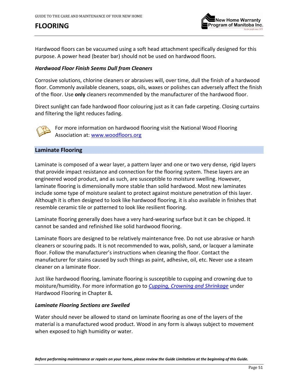

Hardwood floors can be vacuumed using a soft head attachment specifically designed for this purpose. A power head (beater bar) should not be used on hardwood floors.

#### *Hardwood Floor Finish Seems Dull from Cleaners*

Corrosive solutions, chlorine cleaners or abrasives will, over time, dull the finish of a hardwood floor. Commonly available cleaners, soaps, oils, waxes or polishes can adversely affect the finish of the floor. Use **only** cleaners recommended by the manufacturer of the hardwood floor.

Direct sunlight can fade hardwood floor colouring just as it can fade carpeting. Closing curtains and filtering the light reduces fading.



For more information on hardwood flooring visit the National Wood Flooring Association at: [www.woodfloors.org](https://www.woodfloors.org/)

#### **Laminate Flooring**

Laminate is composed of a wear layer, a pattern layer and one or two very dense, rigid layers that provide impact resistance and connection for the flooring system. These layers are an engineered wood product, and as such, are susceptible to moisture swelling. However, laminate flooring is dimensionally more stable than solid hardwood. Most new laminates include some type of moisture sealant to protect against moisture penetration of this layer. Although it is often designed to look like hardwood flooring, it is also available in finishes that resemble ceramic tile or patterned to look like resilient flooring.

Laminate flooring generally does have a very hard-wearing surface but it can be chipped. It cannot be sanded and refinished like solid hardwood flooring.

Laminate floors are designed to be relatively maintenance free. Do not use abrasive or harsh cleaners or scouring pads. It is not recommended to wax, polish, sand, or lacquer a laminate floor. Follow the manufacturer's instructions when cleaning the floor. Contact the manufacturer for stains caused by such things as paint, adhesive, oil, etc. Never use a steam cleaner on a laminate floor.

Just like hardwood flooring, laminate flooring is susceptible to cupping and crowning due to moisture/humidity. For more information go to *[Cupping, Crowning and Shrinkage](#page-48-0)* under Hardwood Flooring in Chapter 8*.*

#### *Laminate Flooring Sections are Swelled*

Water should never be allowed to stand on laminate flooring as one of the layers of the material is a manufactured wood product. Wood in any form is always subject to movement when exposed to high humidity or water.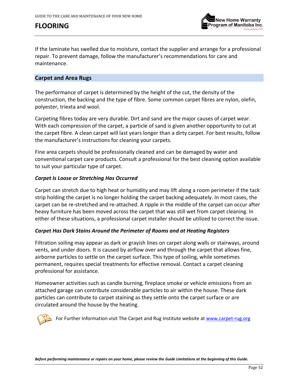

If the laminate has swelled due to moisture, contact the supplier and arrange for a professional repair. To prevent damage, follow the manufacturer's recommendations for care and maintenance.

### <span id="page-51-0"></span>**Carpet and Area Rugs**

The performance of carpet is determined by the height of the cut, the density of the construction, the backing and the type of fibre. Some common carpet fibres are nylon, olefin, polyester, triexta and wool.

Carpeting fibres today are very durable. Dirt and sand are the major causes of carpet wear. With each compression of the carpet, a particle of sand is given another opportunity to cut at the carpet fibre. A clean carpet will last years longer than a dirty carpet. For best results, follow the manufacturer's instructions for cleaning your carpets.

Fine area carpets should be professionally cleaned and can be damaged by water and conventional carpet care products. Consult a professional for the best cleaning option available to suit your particular type of carpet.

#### *Carpet Is Loose or Stretching Has Occurred*

Carpet can stretch due to high heat or humidity and may lift along a room perimeter if the tack strip holding the carpet is no longer holding the carpet backing adequately. In most cases, the carpet can be re-stretched and re-attached. A ripple in the middle of the carpet can occur after heavy furniture has been moved across the carpet that was still wet from carpet cleaning. In either of these situations, a professional carpet installer should be utilized to correct the issue.

### *Carpet Has Dark Stains Around the Perimeter of Rooms and at Heating Registers*

Filtration soiling may appear as dark or grayish lines on carpet along walls or stairways, around vents, and under doors. It is caused by airflow over and through the carpet that allows fine, airborne particles to settle on the carpet surface. This type of soiling, while sometimes permanent, requires special treatments for effective removal. Contact a carpet cleaning professional for assistance.

Homeowner activities such as candle burning, fireplace smoke or vehicle emissions from an attached garage can contribute considerable particles to air within the house. These dark particles can contribute to carpet staining as they settle onto the carpet surface or are circulated around the house by the heating.

For Further Information visit The Carpet and Rug Institute website at [www.carpet-rug.org](http://www.carpet-rug.org/)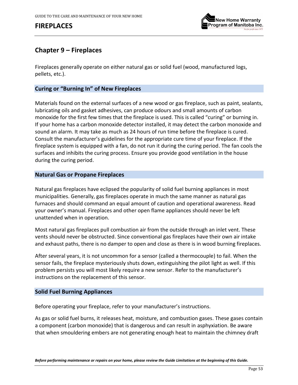# **FIREPLACES**



## **Chapter 9 – Fireplaces**

Fireplaces generally operate on either natural gas or solid fuel (wood, manufactured logs, pellets, etc.).

#### **Curing or "Burning In" of New Fireplaces**

Materials found on the external surfaces of a new wood or gas fireplace, such as paint, sealants, lubricating oils and gasket adhesives, can produce odours and small amounts of carbon monoxide for the first few times that the fireplace is used. This is called "curing" or burning in. If your home has a carbon monoxide detector installed, it may detect the carbon monoxide and sound an alarm. It may take as much as 24 hours of run time before the fireplace is cured. Consult the manufacturer's guidelines for the appropriate cure time of your fireplace. If the fireplace system is equipped with a fan, do not run it during the curing period. The fan cools the surfaces and inhibits the curing process. Ensure you provide good ventilation in the house during the curing period.

#### **Natural Gas or Propane Fireplaces**

Natural gas fireplaces have eclipsed the popularity of solid fuel burning appliances in most municipalities. Generally, gas fireplaces operate in much the same manner as natural gas furnaces and should command an equal amount of caution and operational awareness. Read your owner's manual. Fireplaces and other open flame appliances should never be left unattended when in operation.

Most natural gas fireplaces pull combustion air from the outside through an inlet vent. These vents should never be obstructed. Since conventional gas fireplaces have their own air intake and exhaust paths, there is no damper to open and close as there is in wood burning fireplaces.

After several years, it is not uncommon for a sensor (called a thermocouple) to fail. When the sensor fails, the fireplace mysteriously shuts down, extinguishing the pilot light as well. If this problem persists you will most likely require a new sensor. Refer to the manufacturer's instructions on the replacement of this sensor.

#### **Solid Fuel Burning Appliances**

Before operating your fireplace, refer to your manufacturer's instructions.

As gas or solid fuel burns, it releases heat, moisture, and combustion gases. These gases contain a component (carbon monoxide) that is dangerous and can result in asphyxiation. Be aware that when smouldering embers are not generating enough heat to maintain the chimney draft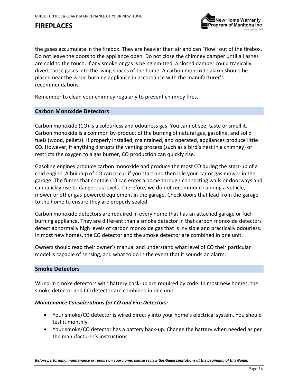# **FIREPLACES**



the gases accumulate in the firebox. They are heavier than air and can "flow" out of the firebox. Do not leave the doors to the appliance open. Do not close the chimney damper until all ashes are cold to the touch. If any smoke or gas is being emitted, a closed damper could tragically divert those gases into the living spaces of the home. A carbon monoxide alarm should be placed near the wood burning appliance in accordance with the manufacturer's recommendations.

Remember to clean your chimney regularly to prevent chimney fires.

#### **Carbon Monoxide Detectors**

Carbon monoxide (CO) is a colourless and odourless gas. You cannot see, taste or smell it. Carbon monoxide is a common by-product of the burning of natural gas, gasoline, and solid fuels (wood, pellets). If properly installed, maintained, and operated, appliances produce little CO. However, if anything disrupts the venting process (such as a bird's nest in a chimney) or restricts the oxygen to a gas burner, CO production can quickly rise.

Gasoline engines produce carbon monoxide and produce the most CO during the start-up of a cold engine. A buildup of CO can occur if you start and then idle your car or gas mower in the garage. The fumes that contain CO can enter a home through connecting walls or doorways and can quickly rise to dangerous levels. Therefore, we do not recommend running a vehicle, mower or other gas-powered equipment in the garage. Check doors that lead from the garage to the home to ensure they are properly sealed.

Carbon monoxide detectors are required in every home that has an attached garage or fuelburning appliance. They are different than a smoke detector in that carbon monoxide detectors detect abnormally high levels of carbon monoxide gas that is invisible and practically odourless. In most new homes, the CO detector and the smoke detector are combined in one unit.

Owners should read their owner's manual and understand what level of CO their particular model is capable of sensing, and what to do in the event that it sounds an alarm.

### **Smoke Detectors**

Wired-in smoke detectors with battery back-up are required by code. In most new homes, the smoke detector and CO detector are combined in one unit.

#### *Maintenance Considerations for CO and Fire Detectors:*

- Your smoke/CO detector is wired directly into your home's electrical system. You should test it monthly.
- Your smoke/CO detector has a battery back-up. Change the battery when needed as per the manufacturer's instructions.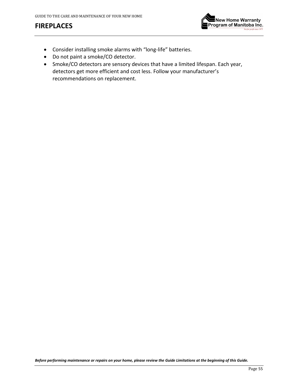# **FIREPLACES**



- Consider installing smoke alarms with "long-life" batteries.
- Do not paint a smoke/CO detector.
- Smoke/CO detectors are sensory devices that have a limited lifespan. Each year, detectors get more efficient and cost less. Follow your manufacturer's recommendations on replacement.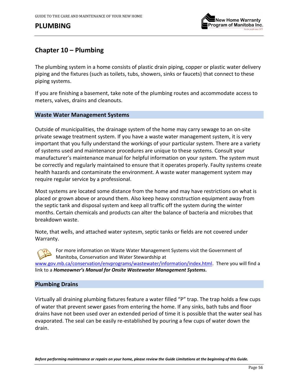

## **Chapter 10 – Plumbing**

The plumbing system in a home consists of plastic drain piping, copper or plastic water delivery piping and the fixtures (such as toilets, tubs, showers, sinks or faucets) that connect to these piping systems.

If you are finishing a basement, take note of the plumbing routes and accommodate access to meters, valves, drains and cleanouts.

#### **Waste Water Management Systems**

Outside of municipalities, the drainage system of the home may carry sewage to an on-site private sewage treatment system. If you have a waste water management system, it is very important that you fully understand the workings of your particular system. There are a variety of systems used and maintenance procedures are unique to these systems. Consult your manufacturer's maintenance manual for helpful information on your system. The system must be correctly and regularly maintained to ensure that it operates properly. Faulty systems create health hazards and contaminate the environment. A waste water management system may require regular service by a professional.

Most systems are located some distance from the home and may have restrictions on what is placed or grown above or around them. Also keep heavy construction equipment away from the septic tank and disposal system and keep all traffic off the system during the winter months. Certain chemicals and products can alter the balance of bacteria and microbes that breakdown waste.

Note, that wells, and attached water systesm, septic tanks or fields are not covered under Warranty.

For more information on Waste Water Management Systems visit the Government of Manitoba, Conservation and Water Stewardship at [www.gov.mb.ca/conservation/envprograms/wastewater/information/index.html.](http://www.gov.mb.ca/conservation/envprograms/wastewater/information/index.html) There you will find a link to a *Homeowner's Manual for Onsite Wastewater Management Systems***.**

### **Plumbing Drains**

Virtually all draining plumbing fixtures feature a water filled "P" trap. The trap holds a few cups of water that prevent sewer gases from entering the home. If any sinks, bath tubs and floor drains have not been used over an extended period of time it is possible that the water seal has evaporated. The seal can be easily re-established by pouring a few cups of water down the drain.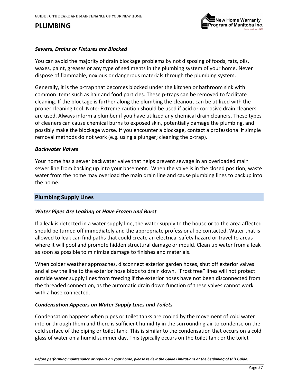

### *Sewers, Drains or Fixtures are Blocked*

You can avoid the majority of drain blockage problems by not disposing of foods, fats, oils, waxes, paint, greases or any type of sediments in the plumbing system of your home. Never dispose of flammable, noxious or dangerous materials through the plumbing system.

Generally, it is the p-trap that becomes blocked under the kitchen or bathroom sink with common items such as hair and food particles. These p-traps can be removed to facilitate cleaning. If the blockage is further along the plumbing the cleanout can be utilized with the proper cleaning tool. Note: Extreme caution should be used if acid or corrosive drain cleaners are used. Always inform a plumber if you have utilized any chemical drain cleaners. These types of cleaners can cause chemical burns to exposed skin, potentially damage the plumbing, and possibly make the blockage worse. If you encounter a blockage, contact a professional if simple removal methods do not work (e.g. using a plunger; cleaning the p-trap).

#### *Backwater Valves*

Your home has a sewer backwater valve that helps prevent sewage in an overloaded main sewer line from backing up into your basement. When the valve is in the closed position, waste water from the home may overload the main drain line and cause plumbing lines to backup into the home.

#### **Plumbing Supply Lines**

#### *Water Pipes Are Leaking or Have Frozen and Burst*

If a leak is detected in a water supply line, the water supply to the house or to the area affected should be turned off immediately and the appropriate professional be contacted. Water that is allowed to leak can find paths that could create an electrical safety hazard or travel to areas where it will pool and promote hidden structural damage or mould. Clean up water from a leak as soon as possible to minimize damage to finishes and materials.

When colder weather approaches, disconnect exterior garden hoses, shut off exterior valves and allow the line to the exterior hose bibbs to drain down. "Frost free" lines will not protect outside water supply lines from freezing if the exterior hoses have not been disconnected from the threaded connection, as the automatic drain down function of these valves cannot work with a hose connected.

#### <span id="page-56-0"></span>*Condensation Appears on Water Supply Lines and Toilets*

Condensation happens when pipes or toilet tanks are cooled by the movement of cold water into or through them and there is sufficient humidity in the surrounding air to condense on the cold surface of the piping or toilet tank. This is similar to the condensation that occurs on a cold glass of water on a humid summer day. This typically occurs on the toilet tank or the toilet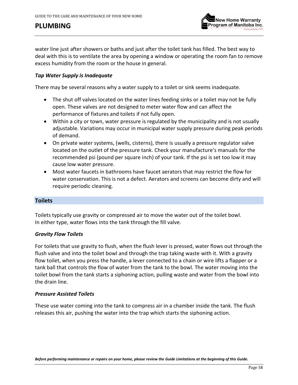

water line just after showers or baths and just after the toilet tank has filled. The best way to deal with this is to ventilate the area by opening a window or operating the room fan to remove excess humidity from the room or the house in general.

#### *Tap Water Supply is Inadequate*

There may be several reasons why a water supply to a toilet or sink seems inadequate.

- The shut off valves located on the water lines feeding sinks or a toilet may not be fully open. These valves are not designed to meter water flow and can affect the performance of fixtures and toilets if not fully open.
- Within a city or town, water pressure is regulated by the municipality and is not usually adjustable. Variations may occur in municipal water supply pressure during peak periods of demand.
- On private water systems, (wells, cisterns), there is usually a pressure regulator valve located on the outlet of the pressure tank. Check your manufacture's manuals for the recommended psi (pound per square inch) of your tank. If the psi is set too low it may cause low water pressure.
- Most water faucets in bathrooms have faucet aerators that may restrict the flow for water conservation. This is not a defect. Aerators and screens can become dirty and will require periodic cleaning.

#### **Toilets**

Toilets typically use gravity or compressed air to move the water out of the toilet bowl. In either type, water flows into the tank through the fill valve.

#### *Gravity Flow Toilets*

For toilets that use gravity to flush, when the flush lever is pressed, water flows out through the flush valve and into the toilet bowl and through the trap taking waste with it. With a gravity flow toilet, when you press the handle, a lever connected to a chain or wire lifts a flapper or a tank ball that controls the flow of water from the tank to the bowl. The water moving into the toilet bowl from the tank starts a siphoning action, pulling waste and water from the bowl into the drain line.

#### *Pressure Assisted Toilets*

These use water coming into the tank to compress air in a chamber inside the tank. The flush releases this air, pushing the water into the trap which starts the siphoning action.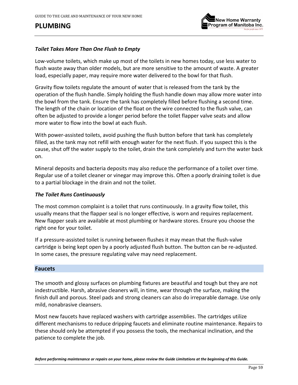

### *Toilet Takes More Than One Flush to Empty*

Low-volume toilets, which make up most of the toilets in new homes today, use less water to flush waste away than older models, but are more sensitive to the amount of waste. A greater load, especially paper, may require more water delivered to the bowl for that flush.

Gravity flow toilets regulate the amount of water that is released from the tank by the operation of the flush handle. Simply holding the flush handle down may allow more water into the bowl from the tank. Ensure the tank has completely filled before flushing a second time. The length of the chain or location of the float on the wire connected to the flush valve, can often be adjusted to provide a longer period before the toilet flapper valve seats and allow more water to flow into the bowl at each flush.

With power-assisted toilets, avoid pushing the flush button before that tank has completely filled, as the tank may not refill with enough water for the next flush. If you suspect this is the cause, shut off the water supply to the toilet, drain the tank completely and turn the water back on.

Mineral deposits and bacteria deposits may also reduce the performance of a toilet over time. Regular use of a toilet cleaner or vinegar may improve this. Often a poorly draining toilet is due to a partial blockage in the drain and not the toilet.

#### *The Toilet Runs Continuously*

The most common complaint is a toilet that runs continuously. In a gravity flow toilet, this usually means that the flapper seal is no longer effective, is worn and requires replacement. New flapper seals are available at most plumbing or hardware stores. Ensure you choose the right one for your toilet.

If a pressure-assisted toilet is running between flushes it may mean that the flush-valve cartridge is being kept open by a poorly adjusted flush button. The button can be re-adjusted. In some cases, the pressure regulating valve may need replacement.

#### **Faucets**

The smooth and glossy surfaces on plumbing fixtures are beautiful and tough but they are not indestructible. Harsh, abrasive cleaners will, in time, wear through the surface, making the finish dull and porous. Steel pads and strong cleaners can also do irreparable damage. Use only mild, nonabrasive cleansers.

Most new faucets have replaced washers with cartridge assemblies. The cartridges utilize different mechanisms to reduce dripping faucets and eliminate routine maintenance. Repairs to these should only be attempted if you possess the tools, the mechanical inclination, and the patience to complete the job.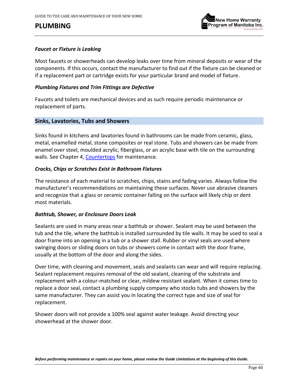

#### *Faucet or Fixture is Leaking*

Most faucets or showerheads can develop leaks over time from mineral deposits or wear of the components. If this occurs, contact the manufacturer to find out if the fixture can be cleaned or if a replacement part or cartridge exists for your particular brand and model of fixture.

#### *Plumbing Fixtures and Trim Fittings are Defective*

Faucets and toilets are mechanical devices and as such require periodic maintenance or replacement of parts.

#### **Sinks, Lavatories, Tubs and Showers**

Sinks found in kitchens and lavatories found in bathrooms can be made from ceramic, glass, metal, enamelled metal, stone composites or real stone. Tubs and showers can be made from enamel over steel, moulded acrylic, fiberglass, or an acrylic base with tile on the surrounding walls. See Chapter 4, [Countertops](#page-27-0) for maintenance.

#### *Cracks, Chips or Scratches Exist in Bathroom Fixtures*

The resistance of each material to scratches, chips, stains and fading varies. Always follow the manufacturer's recommendations on maintaining these surfaces. Never use abrasive cleaners and recognize that a glass or ceramic container falling on the surface will likely chip or dent most materials.

#### *Bathtub, Shower, or Enclosure Doors Leak*

Sealants are used in many areas near a bathtub or shower. Sealant may be used between the tub and the tile, where the bathtub is installed surrounded by tile walls. It may be used to seal a door frame into an opening in a tub or a shower stall. Rubber or vinyl seals are used where swinging doors or sliding doors on tubs or showers come in contact with the door frame, usually at the bottom of the door and along the sides.

Over time, with cleaning and movement, seals and sealants can wear and will require replacing. Sealant replacement requires removal of the old sealant, cleaning of the substrate and replacement with a colour-matched or clear, mildew resistant sealant. When it comes time to replace a door seal, contact a plumbing supply company who stocks tubs and showers by the same manufacturer. They can assist you in locating the correct type and size of seal for replacement.

Shower doors will not provide a 100% seal against water leakage. Avoid directing your showerhead at the shower door.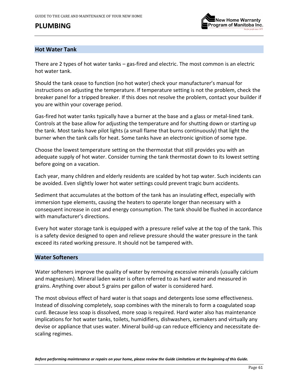

### **Hot Water Tank**

There are 2 types of hot water tanks – gas-fired and electric. The most common is an electric hot water tank.

Should the tank cease to function (no hot water) check your manufacturer's manual for instructions on adjusting the temperature. If temperature setting is not the problem, check the breaker panel for a tripped breaker. If this does not resolve the problem, contact your builder if you are within your coverage period.

Gas-fired hot water tanks typically have a burner at the base and a glass or metal-lined tank. Controls at the base allow for adjusting the temperature and for shutting down or starting up the tank. Most tanks have pilot lights (a small flame that burns continuously) that light the burner when the tank calls for heat. Some tanks have an electronic ignition of some type.

Choose the lowest temperature setting on the thermostat that still provides you with an adequate supply of hot water. Consider turning the tank thermostat down to its lowest setting before going on a vacation.

Each year, many children and elderly residents are scalded by hot tap water. Such incidents can be avoided. Even slightly lower hot water settings could prevent tragic burn accidents.

Sediment that accumulates at the bottom of the tank has an insulating effect, especially with immersion type elements, causing the heaters to operate longer than necessary with a consequent increase in cost and energy consumption. The tank should be flushed in accordance with manufacturer's directions.

Every hot water storage tank is equipped with a pressure relief valve at the top of the tank. This is a safety device designed to open and relieve pressure should the water pressure in the tank exceed its rated working pressure. It should not be tampered with.

### <span id="page-60-0"></span>**Water Softeners**

Water softeners improve the quality of water by removing excessive minerals (usually calcium and magnesium). Mineral laden water is often referred to as hard water and measured in grains. Anything over about 5 grains per gallon of water is considered hard.

The most obvious effect of hard water is that soaps and detergents lose some effectiveness. Instead of dissolving completely, soap combines with the minerals to form a coagulated soap curd. Because less soap is dissolved, more soap is required. Hard water also has maintenance implications for hot water tanks, toilets, humidifiers, dishwashers, icemakers and virtually any devise or appliance that uses water. Mineral build-up can reduce efficiency and necessitate descaling regimes.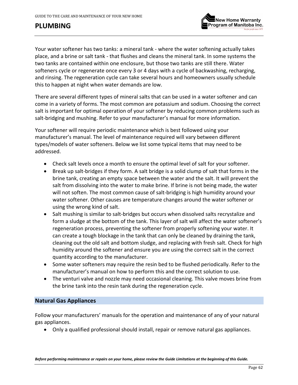



Your water softener has two tanks: a mineral tank - where the water softening actually takes place, and a brine or salt tank - that flushes and cleans the mineral tank. In some systems the two tanks are contained within one enclosure, but those two tanks are still there. Water softeners cycle or regenerate once every 3 or 4 days with a cycle of backwashing, recharging, and rinsing. The regeneration cycle can take several hours and homeowners usually schedule this to happen at night when water demands are low.

There are several different types of mineral salts that can be used in a water softener and can come in a variety of forms. The most common are potassium and sodium. Choosing the correct salt is important for optimal operation of your softener by reducing common problems such as salt-bridging and mushing. Refer to your manufacturer's manual for more information.

Your softener will require periodic maintenance which is best followed using your manufacturer's manual. The level of maintenance required will vary between different types/models of water softeners. Below we list some typical items that may need to be addressed.

- Check salt levels once a month to ensure the optimal level of salt for your softener.
- Break up salt-bridges if they form. A salt bridge is a solid clump of salt that forms in the brine tank, creating an empty space between the water and the salt. It will prevent the salt from dissolving into the water to make brine. If brine is not being made, the water will not soften. The most common cause of salt-bridging is high humidity around your water softener. Other causes are temperature changes around the water softener or using the wrong kind of salt.
- Salt mushing is similar to salt-bridges but occurs when dissolved salts recrystalize and form a sludge at the bottom of the tank. This layer of salt will affect the water softener's regeneration process, preventing the softener from properly softening your water. It can create a tough blockage in the tank that can only be cleaned by draining the tank, cleaning out the old salt and bottom sludge, and replacing with fresh salt. Check for high humidity around the softener and ensure you are using the correct salt in the correct quantity according to the manufacturer.
- Some water softeners may require the resin bed to be flushed periodically. Refer to the manufacturer's manual on how to perform this and the correct solution to use.
- The venturi valve and nozzle may need occasional cleaning. This valve moves brine from the brine tank into the resin tank during the regeneration cycle.

### **Natural Gas Appliances**

Follow your manufacturers' manuals for the operation and maintenance of any of your natural gas appliances.

• Only a qualified professional should install, repair or remove natural gas appliances.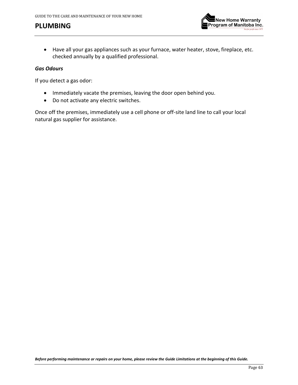

• Have all your gas appliances such as your furnace, water heater, stove, fireplace, etc. checked annually by a qualified professional.

#### *Gas Odours*

If you detect a gas odor:

- Immediately vacate the premises, leaving the door open behind you.
- Do not activate any electric switches.

Once off the premises, immediately use a cell phone or off-site land line to call your local natural gas supplier for assistance.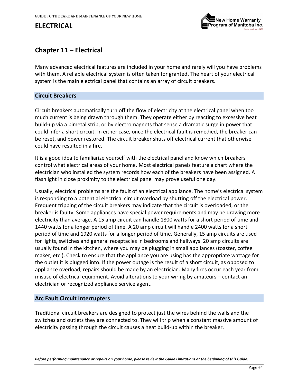# **ELECTRICAL**



# **Chapter 11 – Electrical**

Many advanced electrical features are included in your home and rarely will you have problems with them. A reliable electrical system is often taken for granted. The heart of your electrical system is the main electrical panel that contains an array of circuit breakers.

### **Circuit Breakers**

Circuit breakers automatically turn off the flow of electricity at the electrical panel when too much current is being drawn through them. They operate either by reacting to excessive heat build-up via a bimetal strip, or by electromagnets that sense a dramatic surge in power that could infer a short circuit. In either case, once the electrical fault is remedied, the breaker can be reset, and power restored. The circuit breaker shuts off electrical current that otherwise could have resulted in a fire.

It is a good idea to familiarize yourself with the electrical panel and know which breakers control what electrical areas of your home. Most electrical panels feature a chart where the electrician who installed the system records how each of the breakers have been assigned. A flashlight in close proximity to the electrical panel may prove useful one day.

Usually, electrical problems are the fault of an electrical appliance. The home's electrical system is responding to a potential electrical circuit overload by shutting off the electrical power. Frequent tripping of the circuit breakers may indicate that the circuit is overloaded, or the breaker is faulty. Some appliances have special power requirements and may be drawing more electricity than average. A 15 amp circuit can handle 1800 watts for a short period of time and 1440 watts for a longer period of time. A 20 amp circuit will handle 2400 watts for a short period of time and 1920 watts for a longer period of time. Generally, 15 amp circuits are used for lights, switches and general receptacles in bedrooms and hallways. 20 amp circuits are usually found in the kitchen, where you may be plugging in small appliances (toaster, coffee maker, etc.). Check to ensure that the appliance you are using has the appropriate wattage for the outlet it is plugged into. If the power outage is the result of a short circuit, as opposed to appliance overload, repairs should be made by an electrician. Many fires occur each year from misuse of electrical equipment. Avoid alterations to your wiring by amateurs – contact an electrician or recognized appliance service agent.

### **Arc Fault Circuit Interrupters**

Traditional circuit breakers are designed to protect just the wires behind the walls and the switches and outlets they are connected to. They will trip when a constant massive amount of electricity passing through the circuit causes a heat build-up within the breaker.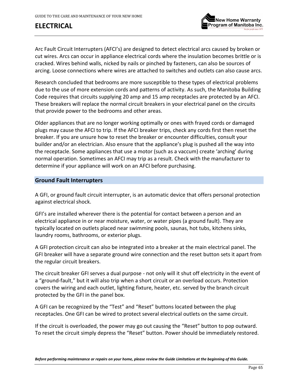# **ELECTRICAL**



Arc Fault Circuit Interrupters (AFCI's) are designed to detect electrical arcs caused by broken or cut wires. Arcs can occur in appliance electrical cords where the insulation becomes brittle or is cracked. Wires behind walls, nicked by nails or pinched by fasteners, can also be sources of arcing. Loose connections where wires are attached to switches and outlets can also cause arcs.

Research concluded that bedrooms are more susceptible to these types of electrical problems due to the use of more extension cords and patterns of activity. As such, the Manitoba Building Code requires that circuits supplying 20 amp and 15 amp receptacles are protected by an AFCI. These breakers will replace the normal circuit breakers in your electrical panel on the circuits that provide power to the bedrooms and other areas.

Older appliances that are no longer working optimally or ones with frayed cords or damaged plugs may cause the AFCI to trip. If the AFCI breaker trips, check any cords first then reset the breaker. If you are unsure how to reset the breaker or encounter difficulties, consult your builder and/or an electrician. Also ensure that the appliance's plug is pushed all the way into the receptacle. Some appliances that use a motor (such as a vaccum) create 'arching' during normal operation. Sometimes an AFCI may trip as a result. Check with the manufacturer to determine if your appliance will work on an AFCI before purchasing.

### **Ground Fault Interrupters**

A GFI, or ground fault circuit interrupter, is an automatic device that offers personal protection against electrical shock.

GFI's are installed wherever there is the potential for contact between a person and an electrical appliance in or near moisture, water, or water pipes (a ground fault). They are typically located on outlets placed near swimming pools, saunas, hot tubs, kitchens sinks, laundry rooms, bathrooms, or exterior plugs.

A GFI protection circuit can also be integrated into a breaker at the main electrical panel. The GFI breaker will have a separate ground wire connection and the reset button sets it apart from the regular circuit breakers.

The circuit breaker GFI serves a dual purpose - not only will it shut off electricity in the event of a "ground-fault," but it will also trip when a short circuit or an overload occurs. Protection covers the wiring and each outlet, lighting fixture, heater, etc. served by the branch circuit protected by the GFI in the panel box.

A GFI can be recognized by the "Test" and "Reset" buttons located between the plug receptacles. One GFI can be wired to protect several electrical outlets on the same circuit.

If the circuit is overloaded, the power may go out causing the "Reset" button to pop outward. To reset the circuit simply depress the "Reset" button. Power should be immediately restored.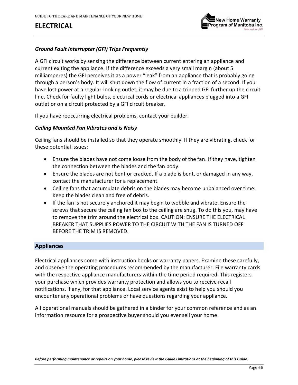# **ELECTRICAL**



### *Ground Fault Interrupter (GFI) Trips Frequently*

A GFI circuit works by sensing the difference between current entering an appliance and current exiting the appliance. If the difference exceeds a very small margin (about 5 milliamperes) the GFI perceives it as a power "leak" from an appliance that is probably going through a person's body. It will shut down the flow of current in a fraction of a second. If you have lost power at a regular-looking outlet, it may be due to a tripped GFI further up the circuit line. Check for faulty light bulbs, electrical cords or electrical appliances plugged into a GFI outlet or on a circuit protected by a GFI circuit breaker.

If you have reoccurring electrical problems, contact your builder.

#### *Ceiling Mounted Fan Vibrates and is Noisy*

Ceiling fans should be installed so that they operate smoothly. If they are vibrating, check for these potential issues:

- Ensure the blades have not come loose from the body of the fan. If they have, tighten the connection between the blades and the fan body.
- Ensure the blades are not bent or cracked. If a blade is bent, or damaged in any way, contact the manufacturer for a replacement.
- Ceiling fans that accumulate debris on the blades may become unbalanced over time. Keep the blades clean and free of debris.
- If the fan is not securely anchored it may begin to wobble and vibrate. Ensure the screws that secure the ceiling fan box to the ceiling are snug. To do this you, may have to remove the trim around the electrical box. CAUTION: ENSURE THE ELECTRICAL BREAKER THAT SUPPLIES POWER TO THE CIRCUIT WITH THE FAN IS TURNED OFF BEFORE THE TRIM IS REMOVED.

### **Appliances**

Electrical appliances come with instruction books or warranty papers. Examine these carefully, and observe the operating procedures recommended by the manufacturer. File warranty cards with the respective appliance manufacturers within the time period required. This registers your purchase which provides warranty protection and allows you to receive recall notifications, if any, for that appliance. Local service agents exist to help you should you encounter any operational problems or have questions regarding your appliance.

All operational manuals should be gathered in a binder for your common reference and as an information resource for a prospective buyer should you ever sell your home.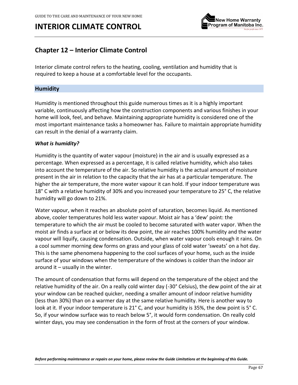

# **Chapter 12 – Interior Climate Control**

Interior climate control refers to the heating, cooling, ventilation and humidity that is required to keep a house at a comfortable level for the occupants.

### <span id="page-66-0"></span>**Humidity**

Humidity is mentioned throughout this guide numerous times as it is a highly important variable, continuously affecting how the construction components and various finishes in your home will look, feel, and behave. Maintaining appropriate humidity is considered one of the most important maintenance tasks a homeowner has. Failure to maintain appropriate humidity can result in the denial of a warranty claim.

#### *What is humidity?*

Humidity is the quantity of water vapour (moisture) in the air and is usually expressed as a percentage. When expressed as a percentage, it is called relative humidity, which also takes into account the temperature of the air. So relative humidity is the actual amount of moisture present in the air in relation to the capacity that the air has at a particular temperature. The higher the air temperature, the more water vapour it can hold. If your indoor temperature was 18° C with a relative humidity of 30% and you increased your temperature to 25° C, the relative humidity will go down to 21%.

Water vapour, when it reaches an absolute point of saturation, becomes liquid. As mentioned above, cooler temperatures hold less water vapour. Moist air has a 'dew' point: the temperature to which the [air](https://en.wikipedia.org/wiki/Air) must be cooled to become saturated with [water vapor.](https://en.wikipedia.org/wiki/Water_vapor) When the moist air finds a surface at or below its dew point, the air reaches 100% humidity and the water vapour will liquify, causing condensation. Outside, when water vapour cools enough it rains. On a cool summer morning dew forms on grass and your glass of cold water 'sweats' on a hot day. This is the same phenomena happening to the cool surfaces of your home, such as the inside surface of your windows when the temperature of the windows is colder than the indoor air around it  $-$  usually in the winter.

The amount of condensation that forms will depend on the temperature of the object and the relative humidity of the air. On a really cold winter day (-30° Celsius), the dew point of the air at your window can be reached quicker, needing a smaller amount of indoor relative humidity (less than 30%) than on a warmer day at the same relative humidity. Here is another way to look at it. If your indoor temperature is 21° C, and your humidity is 35%, the dew point is 5° C. So, if your window surface was to reach below 5°, it would form condensation. On really cold winter days, you may see condensation in the form of frost at the corners of your window.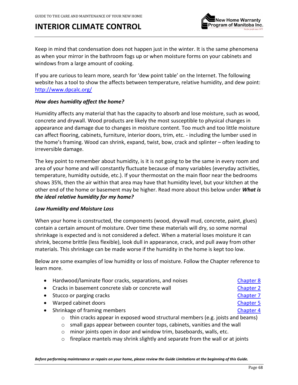

Keep in mind that condensation does not happen just in the winter. It is the same phenomena as when your mirror in the bathroom fogs up or when moisture forms on your cabinets and windows from a large amount of cooking.

If you are curious to learn more, search for 'dew point table' on the Internet. The following website has a tool to show the affects between temperature, relative humidity, and dew point: <http://www.dpcalc.org/>

### *How does humidity affect the home?*

Humidity affects any material that has the capacity to absorb and lose moisture, such as wood, concrete and drywall. Wood products are likely the most susceptible to physical changes in appearance and damage due to changes in moisture content. Too much and too little moisture can affect flooring, cabinets, furniture, interior doors, trim, etc. - including the lumber used in the home's framing. Wood can shrink, expand, twist, bow, crack and splinter – often leading to irreversible damage.

The key point to remember about humidity, is it is not going to be the same in every room and area of your home and will constantly fluctuate because of many variables (everyday activities, temperature, humidity outside, etc.). If your thermostat on the main floor near the bedrooms shows 35%, then the air within that area may have that humidity level, but your kitchen at the other end of the home or basement may be higher. Read more about this below under *What is the ideal relative humidity for my home?*

#### *Low Humidity and Moisture Loss*

When your home is constructed, the components (wood, drywall mud, concrete, paint, glues) contain a certain amount of moisture. Over time these materials will dry, so some normal shrinkage is expected and is not considered a defect. When a material loses moisture it can shrink, become brittle (less flexible), look dull in appearance, crack, and pull away from other materials. This shrinkage can be made worse if the humidity in the home is kept too low.

Below are some examples of low humidity or loss of moisture. Follow the Chapter reference to learn more.

| • Hardwood/laminate floor cracks, separations, and noises                                                      | Chapter 8        |  |
|----------------------------------------------------------------------------------------------------------------|------------------|--|
| • Cracks in basement concrete slab or concrete wall                                                            | Chapter 2        |  |
| • Stucco or parging cracks                                                                                     | Chapter 7        |  |
| • Warped cabinet doors                                                                                         | <b>Chapter 5</b> |  |
| • Shrinkage of framing members                                                                                 | Chapter 4        |  |
| $\circ$ thin cracks appear in exposed wood structural members (e.g. joists and beams)                          |                  |  |
| a constitue de la calendaria de la calendaria de la calendaria de la catalante de la calendaria de la territor |                  |  |

- $\circ$  small gaps appear between counter tops, cabinets, vanities and the wall
- o minor joints open in door and window trim, baseboards, walls, etc.
- $\circ$  fireplace mantels may shrink slightly and separate from the wall or at joints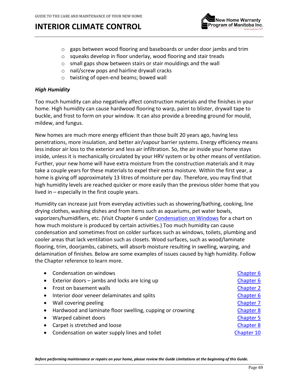

- $\circ$  gaps between wood flooring and baseboards or under door jambs and trim
- o squeaks develop in floor underlay, wood flooring and stair treads
- o small gaps show between stairs or stair mouldings and the wall
- o nail/screw pops and hairline drywall cracks
- o twisting of open-end beams; bowed wall

### *High Humidity*

Too much humidity can also negatively affect construction materials and the finishes in your home. High humidity can cause hardwood flooring to warp, paint to blister, drywall tape to buckle, and frost to form on your window. It can also provide a breeding ground for mould, mildew, and fungus.

New homes are much more energy efficient than those built 20 years ago, having less penetrations, more insulation, and better air/vapour barrier systems. Energy efficiency means less indoor air loss to the exterior and less air infiltration. So, the air inside your home stays inside, unless it is mechanically circulated by your HRV system or by other means of ventilation. Further, your new home will have extra moisture from the construction materials and it may take a couple years for these materials to expel their extra moisture. Within the first year, a home is giving off approximately 13 litres of moisture per day. Therefore, you may find that high humidity levels are reached quicker or more easily than the previous older home that you lived in – especially in the first couple years.

Humidity can increase just from everyday activities such as showering/bathing, cooking, line drying clothes, washing dishes and from items such as aquariums, pet water bowls, vaporizers/humidifiers, etc. (Visit Chapter 6 under [Condensation on Windows](#page-33-0) for a chart on how much moisture is produced by certain activities.) Too much humidity can cause condensation and sometimes frost on colder surfaces such as windows, toilets, plumbing and cooler areas that lack ventilation such as closets. Wood surfaces, such as wood/laminate flooring, trim, doorjambs, cabinets, will absorb moisture resulting in swelling, warping, and delamination of finishes. Below are some examples of issues caused by high humidity. Follow the Chapter reference to learn more.

| Condensation on windows                                     | Chapter 6        |
|-------------------------------------------------------------|------------------|
| Exterior doors - jambs and locks are Icing up               | Chapter 6        |
| Frost on basement walls                                     | <b>Chapter 2</b> |
| Interior door veneer delaminates and splits                 | Chapter 6        |
| Wall covering peeling                                       | Chapter 7        |
| • Hardwood and laminate floor swelling, cupping or crowning | <b>Chapter 8</b> |
| Warped cabinet doors                                        | Chapter 5        |
| Carpet is stretched and loose                               | <b>Chapter 8</b> |
| Condensation on water supply lines and toilet               | Chapter 10       |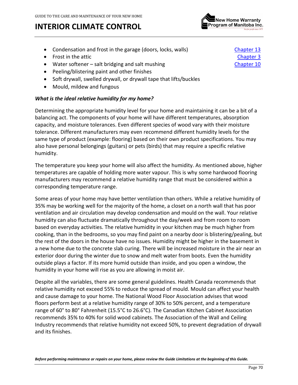

- Condensation and frost in the garage (doors, locks, walls) [Chapter 13](#page-79-0)
- Frost in the attic [Chapter 3](#page-23-0)
- Water softener salt bridging and salt mushing example that the chapter 10
- Peeling/blistering paint and other finishes
- Soft drywall, swelled drywall, or drywall tape that lifts/buckles
- Mould, mildew and fungous

### *What is the ideal relative humidity for my home?*

Determining the appropriate humidity level for your home and maintaining it can be a bit of a balancing act. The components of your home will have different temperatures, absorption capacity, and moisture tolerances. Even different species of wood vary with their moisture tolerance. Different manufacturers may even recommend different humidity levels for the same type of product (example: flooring) based on their own product specifications. You may also have personal belongings (guitars) or pets (birds) that may require a specific relative humidity.

The temperature you keep your home will also affect the humidity. As mentioned above, higher temperatures are capable of holding more water vapour. This is why some hardwood flooring manufacturers may recommend a relative humidity range that must be considered within a corresponding temperature range.

Some areas of your home may have better ventilation than others. While a relative humidity of 35% may be working well for the majority of the home, a closet on a north wall that has poor ventilation and air circulation may develop condensation and mould on the wall. Your relative humidity can also fluctuate dramatically throughout the day/week and from room to room based on everyday activities. The relative humidity in your kitchen may be much higher from cooking, than in the bedrooms, so you may find paint on a nearby door is blistering/pealing, but the rest of the doors in the house have no issues. Humidity might be higher in the basement in a new home due to the concrete slab curing. There will be increased moisture in the air near an exterior door during the winter due to snow and melt water from boots. Even the humidity outside plays a factor. If its more humid outside than inside, and you open a window, the humidity in your home will rise as you are allowing in moist air.

Despite all the variables, there are some general guidelines. Health Canada recommends that relative humidity not exceed 55% to reduce the spread of mould. Mould can affect your health and cause damage to your home. The National Wood Floor Association advises that wood floors perform best at a relative humidity range of 30% to 50% percent, and a temperature range of 60° to 80° Fahrenheit (15.5°C to 26.6°C). The Canadian Kitchen Cabinet Association recommends 35% to 40% for solid wood cabinets. The Association of the Wall and Ceiling Industry recommends that relative humidity not exceed 50%, to prevent degradation of drywall and its finishes.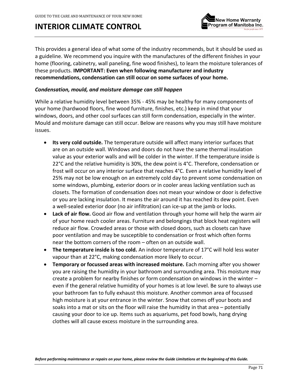

This provides a general idea of what some of the industry recommends, but it should be used as a guideline. We recommend you inquire with the manufactures of the different finishes in your home (flooring, cabinetry, wall paneling, fine wood finishes), to learn the moisture tolerances of these products. **IMPORTANT: Even when following manufacturer and industry recommendations, condensation can still occur on some surfaces of your home.** 

### *Condensation, mould, and moisture damage can still happen*

While a relative humidity level between 35% - 45% may be healthy for many components of your home (hardwood floors, fine wood furniture, finishes, etc.) keep in mind that your windows, doors, and other cool surfaces can still form condensation, especially in the winter. Mould and moisture damage can still occur. Below are reasons why you may still have moisture issues.

- **Its very cold outside.** The temperature outside will affect many interior surfaces that are on an outside wall. Windows and doors do not have the same thermal insulation value as your exterior walls and will be colder in the winter. If the temperature inside is 22 $\degree$ C and the relative humidity is 30%, the dew point is 4 $\degree$ C. Therefore, condensation or frost will occur on any interior surface that reaches 4°C. Even a relative humidity level of 25% may not be low enough on an extremely cold day to prevent some condensation on some windows, plumbing, exterior doors or in cooler areas lacking ventilation such as closets. The formation of condensation does not mean your window or door is defective or you are lacking insulation. It means the air around it has reached its dew point. Even a well-sealed exterior door (no air infiltration) can ice-up at the jamb or locks.
- **Lack of air flow.** Good air flow and ventilation through your home will help the warm air of your home reach cooler areas. Furniture and belongings that block heat registers will reduce air flow. Crowded areas or those with closed doors, such as closets can have poor ventilation and may be susceptible to condensation or frost which often forms near the bottom corners of the room – often on an outside wall.
- **The temperature inside is too cold.** An indoor temperature of 17°C will hold less water vapour than at 22°C, making condensation more likely to occur.
- **Temporary or focussed areas with increased moisture.** Each morning after you shower you are raising the humidity in your bathroom and surrounding area. This moisture may create a problem for nearby finishes or form condensation on windows in the winter – even if the general relative humidity of your homes is at low level. Be sure to always use your bathroom fan to fully exhaust this moisture. Another common area of focussed high moisture is at your entrance in the winter. Snow that comes off your boots and soaks into a mat or sits on the floor will raise the humidity in that area – potentially causing your door to ice up. Items such as aquariums, pet food bowls, hang drying clothes will all cause excess moisture in the surrounding area.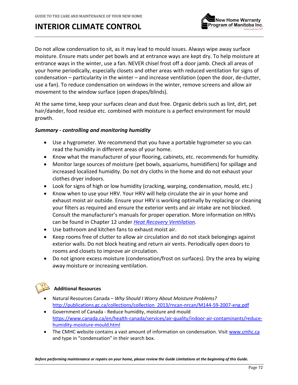

Do not allow condensation to sit, as it may lead to mould issues. Always wipe away surface moisture. Ensure mats under pet bowls and at entrance ways are kept dry. To help moisture at entrance ways in the winter, use a fan. NEVER chisel frost off a door jamb. Check all areas of your home periodically, especially closets and other areas with reduced ventilation for signs of condensation – particularity in the winter – and increase ventilation (open the door, de-clutter, use a fan). To reduce condensation on windows in the winter, remove screens and allow air movement to the window surface (open drapes/blinds).

At the same time, keep your surfaces clean and dust free. Organic debris such as lint, dirt, pet hair/dander, food residue etc. combined with moisture is a perfect environment for mould growth.

### *Summary - controlling and monitoring humidity*

- Use a hygrometer. We recommend that you have a portable hygrometer so you can read the humidity in different areas of your home.
- Know what the manufacturer of your flooring, cabinets, etc. recommends for humidity.
- Monitor large sources of moisture (pet bowls, aquariums, humidifiers) for spillage and increased localized humidity. Do not dry cloths in the home and do not exhaust your clothes dryer indoors.
- Look for signs of high or low humidity (cracking, warping, condensation, mould, etc.)
- Know when to use your HRV. Your HRV will help circulate the air in your home and exhaust moist air outside. Ensure your HRV is working optimally by replacing or cleaning your filters as required and ensure the exterior vents and air intake are not blocked. Consult the manufacturer's manuals for proper operation. More information on HRVs can be found in Chapter 12 under *[Heat Recovery Ventilation](#page-75-0)*.
- Use bathroom and kitchen fans to exhaust moist air.
- Keep rooms free of clutter to allow air circulation and do not stack belongings against exterior walls. Do not block heating and return air vents. Periodically open doors to rooms and closets to improve air circulation.
- Do not ignore excess moisture (condensation/frost on surfaces). Dry the area by wiping away moisture or increasing ventilation.



### **Additional Resources**

- Natural Resources Canada *Why Should I Worry About Moisture Problems?*  [http://publications.gc.ca/collections/collection\\_2013/rncan-nrcan/M144-59-2007-eng.pdf](http://publications.gc.ca/collections/collection_2013/rncan-nrcan/M144-59-2007-eng.pdf)
- Government of Canada Reduce humidity, moisture and mould [https://www.canada.ca/en/health-canada/services/air-quality/indoor-air-contaminants/reduce](https://www.canada.ca/en/health-canada/services/air-quality/indoor-air-contaminants/reduce-humidity-moisture-mould.html)[humidity-moisture-mould.html](https://www.canada.ca/en/health-canada/services/air-quality/indoor-air-contaminants/reduce-humidity-moisture-mould.html)
- The CMHC website contains a vast amount of information on condensation. Visi[t www.cmhc.ca](http://www.cmhc.ca/) and type in "condensation" in their search box.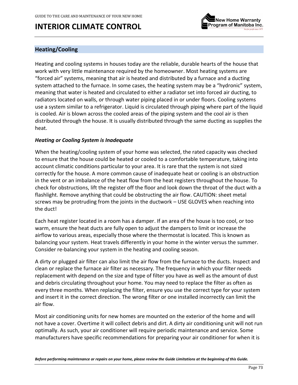

### <span id="page-72-0"></span>**Heating/Cooling**

Heating and cooling systems in houses today are the reliable, durable hearts of the house that work with very little maintenance required by the homeowner. Most heating systems are "forced air" systems, meaning that air is heated and distributed by a furnace and a ducting system attached to the furnace. In some cases, the heating system may be a "hydronic" system, meaning that water is heated and circulated to either a radiator set into forced air ducting, to radiators located on walls, or through water piping placed in or under floors. Cooling systems use a system similar to a refrigerator. Liquid is circulated through piping where part of the liquid is cooled. Air is blown across the cooled areas of the piping system and the cool air is then distributed through the house. It is usually distributed through the same ducting as supplies the heat.

#### *Heating or Cooling System is Inadequate*

When the heating/cooling system of your home was selected, the rated capacity was checked to ensure that the house could be heated or cooled to a comfortable temperature, taking into account climatic conditions particular to your area. It is rare that the system is not sized correctly for the house. A more common cause of inadequate heat or cooling is an obstruction in the vent or an imbalance of the heat flow from the heat registers throughout the house. To check for obstructions, lift the register off the floor and look down the throat of the duct with a flashlight. Remove anything that could be obstructing the air flow. CAUTION: sheet metal screws may be protruding from the joints in the ductwork – USE GLOVES when reaching into the duct!

Each heat register located in a room has a damper. If an area of the house is too cool, or too warm, ensure the heat ducts are fully open to adjust the dampers to limit or increase the airflow to various areas, especially those where the thermostat is located. This is known as balancing your system. Heat travels differently in your home in the winter versus the summer. Consider re-balancing your system in the heating and cooling season.

A dirty or plugged air filter can also limit the air flow from the furnace to the ducts. Inspect and clean or replace the furnace air filter as necessary. The frequency in which your filter needs replacement with depend on the size and type of filter you have as well as the amount of dust and debris circulating throughout your home. You may need to replace the filter as often as every three months. When replacing the filter, ensure you use the correct type for your system and insert it in the correct direction. The wrong filter or one installed incorrectly can limit the air flow.

Most air conditioning units for new homes are mounted on the exterior of the home and will not have a cover. Overtime it will collect debris and dirt. A dirty air conditioning unit will not run optimally. As such, your air conditioner will require periodic maintenance and service. Some manufacturers have specific recommendations for preparing your air conditioner for when it is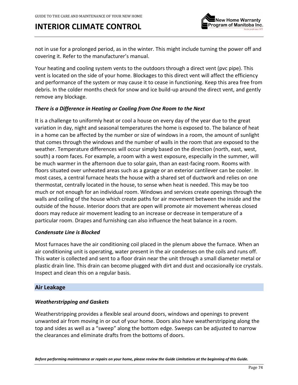

not in use for a prolonged period, as in the winter. This might include turning the power off and covering it. Refer to the manufacturer's manual.

Your heating and cooling system vents to the outdoors through a direct vent (pvc pipe). This vent is located on the side of your home. Blockages to this direct vent will affect the efficiency and performance of the system or may cause it to cease in functioning. Keep this area free from debris. In the colder months check for snow and ice build-up around the direct vent, and gently remove any blockage.

#### *There is a Difference in Heating or Cooling from One Room to the Next*

It is a challenge to uniformly heat or cool a house on every day of the year due to the great variation in day, night and seasonal temperatures the home is exposed to. The balance of heat in a home can be affected by the number or size of windows in a room, the amount of sunlight that comes through the windows and the number of walls in the room that are exposed to the weather. Temperature differences will occur simply based on the direction (north, east, west, south) a room faces. For example, a room with a west exposure, especially in the summer, will be much warmer in the afternoon due to solar gain, than an east-facing room. Rooms with floors situated over unheated areas such as a garage or an exterior cantilever can be cooler. In most cases, a central furnace heats the house with a shared set of ductwork and relies on one thermostat, centrally located in the house, to sense when heat is needed. This may be too much or not enough for an individual room. Windows and services create openings through the walls and ceiling of the house which create paths for air movement between the inside and the outside of the house. Interior doors that are open will promote air movement whereas closed doors may reduce air movement leading to an increase or decrease in temperature of a particular room. Drapes and furnishing can also influence the heat balance in a room.

#### *Condensate Line is Blocked*

Most furnaces have the air conditioning coil placed in the plenum above the furnace. When an air conditioning unit is operating, water present in the air condenses on the coils and runs off. This water is collected and sent to a floor drain near the unit through a small diameter metal or plastic drain line. This drain can become plugged with dirt and dust and occasionally ice crystals. Inspect and clean this on a regular basis.

#### <span id="page-73-0"></span>**Air Leakage**

#### *Weatherstripping and Gaskets*

Weatherstripping provides a flexible seal around doors, windows and openings to prevent unwanted air from moving in or out of your home. Doors also have weatherstripping along the top and sides as well as a "sweep" along the bottom edge. Sweeps can be adjusted to narrow the clearances and eliminate drafts from the bottoms of doors.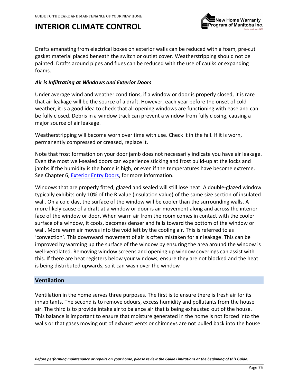

Drafts emanating from electrical boxes on exterior walls can be reduced with a foam, pre-cut gasket material placed beneath the switch or outlet cover. Weatherstripping should not be painted. Drafts around pipes and flues can be reduced with the use of caulks or expanding foams.

#### *Air is Infiltrating at Windows and Exterior Doors*

Under average wind and weather conditions, if a window or door is properly closed, it is rare that air leakage will be the source of a draft. However, each year before the onset of cold weather, it is a good idea to check that all opening windows are functioning with ease and can be fully closed. Debris in a window track can prevent a window from fully closing, causing a major source of air leakage.

Weatherstripping will become worn over time with use. Check it in the fall. If it is worn, permanently compressed or creased, replace it.

Note that frost formation on your door jamb does not necessarily indicate you have air leakage. Even the most well-sealed doors can experience sticking and frost build-up at the locks and jambs if the humidity is the home is high, or even if the temperatures have become extreme. See Chapter 6[, Exterior Entry Doors,](#page-35-0) for more information.

Windows that are properly fitted, glazed and sealed will still lose heat. A double-glazed window typically exhibits only 10% of the R value (insulation value) of the same size section of insulated wall. On a cold day, the surface of the window will be cooler than the surrounding walls. A more likely cause of a draft at a window or door is air movement along and across the interior face of the window or door. When warm air from the room comes in contact with the cooler surface of a window, it cools, becomes denser and falls toward the bottom of the window or wall. More warm air moves into the void left by the cooling air. This is referred to as 'convection'. This downward movement of air is often mistaken for air leakage. This can be improved by warming up the surface of the window by ensuring the area around the window is well-ventilated. Removing window screens and opening up window coverings can assist with this. If there are heat registers below your windows, ensure they are not blocked and the heat is being distributed upwards, so it can wash over the window

#### **Ventilation**

Ventilation in the home serves three purposes. The first is to ensure there is fresh air for its inhabitants. The second is to remove odours, excess humidity and pollutants from the house air. The third is to provide intake air to balance air that is being exhausted out of the house. This balance is important to ensure that moisture generated in the home is not forced into the walls or that gases moving out of exhaust vents or chimneys are not pulled back into the house.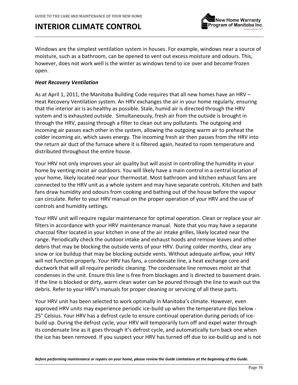

Windows are the simplest ventilation system in houses. For example, windows near a source of moisture, such as a bathroom, can be opened to vent out excess moisture and odours. This, however, does not work well is the winter as windows tend to ice over and become frozen open.

#### *Heat Recovery Ventilation*

As at April 1, 2011, the Manitoba Building Code requires that all new homes have an HRV – Heat Recovery Ventilation system. An HRV exchanges the air in your home regularly, ensuring that the interior air is as healthy as possible. Stale, humid air is directed through the HRV system and is exhausted outside. Simultaneously, fresh air from the outside is brought in through the HRV, passing through a filter to clean out any pollutants. The outgoing and incoming air passes each other in the system, allowing the outgoing warm air to preheat the colder incoming air, which saves energy. The incoming fresh air then passes from the HRV into the return air duct of the furnace where it is filtered again, heated to room temperature and distributed throughout the entire house.

Your HRV not only improves your air quality but will assist in controlling the humidity in your home by venting moist air outdoors. You will likely have a main control in a central location of your home, likely located near your thermostat. Most bathroom and kitchen exhaust fans are connected to the HRV unit as a whole system and may have separate controls. Kitchen and bath fans draw humidity and odours from cooking and bathing out of the house before the vapour can circulate. Refer to your HRV manual on the proper operation of your HRV and the use of controls and humidity settings.

Your HRV unit will require regular maintenance for optimal operation. Clean or replace your air filters in accordance with your HRV maintenance manual. Note that you may have a separate charcoal filter located in your kitchen in one of the air intake grilles, likely located near the range. Periodically check the outdoor intake and exhaust hoods and remove leaves and other debris that may be blocking the outside vents of your HRV. During colder months, clear any snow or ice buildup that may be blocking outside vents. Without adequate airflow, your HRV will not function properly. Your HRV has fans, a condensate line, a heat exchange core and ductwork that will all require periodic cleaning. The condensate line removes moist air that condenses in the unit. Ensure this line is free from blockages and is directed to basement drain. If the line is blocked or dirty, warm clean water can be poured through the line to wash out the debris. Refer to your HRV's manuals for proper cleaning or servicing of all these parts.

Your HRV unit has been selected to work optimally in Manitoba's climate. However, even approved HRV units may experience periodic ice-build up when the temperature dips below - 25° Celsius. Your HRV has a defrost cycle to ensure continual operation during periods of icebuild up. During the defrost cycle, your HRV will temporarily turn off and expel water through its condensate line as it goes through it's defrost cycle, and automatically turn back one when the ice has been removed. If you suspect your HRV has turned off due to ice-build up and is not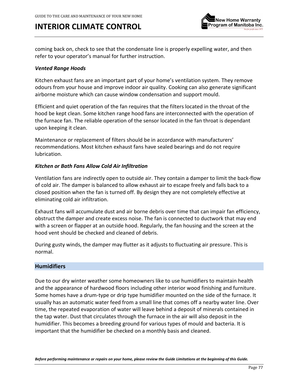

coming back on, check to see that the condensate line is properly expelling water, and then refer to your operator's manual for further instruction.

#### <span id="page-76-0"></span>*Vented Range Hoods*

Kitchen exhaust fans are an important part of your home's ventilation system. They remove odours from your house and improve indoor air quality. Cooking can also generate significant airborne moisture which can cause window condensation and support mould.

Efficient and quiet operation of the fan requires that the filters located in the throat of the hood be kept clean. Some kitchen range hood fans are interconnected with the operation of the furnace fan. The reliable operation of the sensor located in the fan throat is dependant upon keeping it clean.

Maintenance or replacement of filters should be in accordance with manufacturers' recommendations. Most kitchen exhaust fans have sealed bearings and do not require lubrication.

#### *Kitchen or Bath Fans Allow Cold Air Infiltration*

Ventilation fans are indirectly open to outside air. They contain a damper to limit the back-flow of cold air. The damper is balanced to allow exhaust air to escape freely and falls back to a closed position when the fan is turned off. By design they are not completely effective at eliminating cold air infiltration.

Exhaust fans will accumulate dust and air borne debris over time that can impair fan efficiency, obstruct the damper and create excess noise. The fan is connected to ductwork that may end with a screen or flapper at an outside hood. Regularly, the fan housing and the screen at the hood vent should be checked and cleaned of debris.

During gusty winds, the damper may flutter as it adjusts to fluctuating air pressure. This is normal.

#### **Humidifiers**

Due to our dry winter weather some homeowners like to use humidifiers to maintain health and the appearance of hardwood floors including other interior wood finishing and furniture. Some homes have a drum-type or drip type humidifier mounted on the side of the furnace. It usually has an automatic water feed from a small line that comes off a nearby water line. Over time, the repeated evaporation of water will leave behind a deposit of minerals contained in the tap water. Dust that circulates through the furnace in the air will also deposit in the humidifier. This becomes a breeding ground for various types of mould and bacteria. It is important that the humidifier be checked on a monthly basis and cleaned.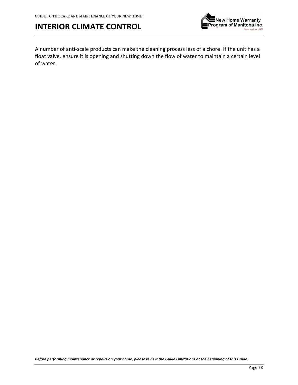

A number of anti-scale products can make the cleaning process less of a chore. If the unit has a float valve, ensure it is opening and shutting down the flow of water to maintain a certain level of water.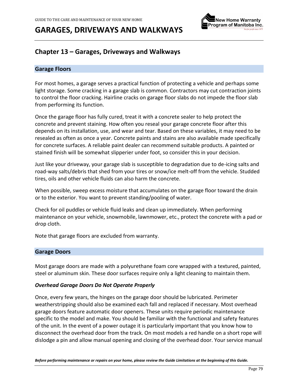

### **Chapter 13 – Garages, Driveways and Walkways**

#### **Garage Floors**

For most homes, a garage serves a practical function of protecting a vehicle and perhaps some light storage. Some cracking in a garage slab is common. Contractors may cut contraction joints to control the floor cracking. Hairline cracks on garage floor slabs do not impede the floor slab from performing its function.

Once the garage floor has fully cured, treat it with a concrete sealer to help protect the concrete and prevent staining. How often you reseal your garage concrete floor after this depends on its installation, use, and wear and tear. Based on these variables, it may need to be resealed as often as once a year. Concrete paints and stains are also available made specifically for concrete surfaces. A reliable paint dealer can recommend suitable products. A painted or stained finish will be somewhat slipperier under foot, so consider this in your decision.

Just like your driveway, your garage slab is susceptible to degradation due to de-icing salts and road-way salts/debris that shed from your tires or snow/ice melt-off from the vehicle. Studded tires, oils and other vehicle fluids can also harm the concrete.

When possible, sweep excess moisture that accumulates on the garage floor toward the drain or to the exterior. You want to prevent standing/pooling of water.

Check for oil puddles or vehicle fluid leaks and clean up immediately. When performing maintenance on your vehicle, snowmobile, lawnmower, etc., protect the concrete with a pad or drop cloth.

Note that garage floors are excluded from warranty.

#### <span id="page-78-0"></span>**Garage Doors**

Most garage doors are made with a polyurethane foam core wrapped with a textured, painted, steel or aluminum skin. These door surfaces require only a light cleaning to maintain them.

#### *Overhead Garage Doors Do Not Operate Properly*

Once, every few years, the hinges on the garage door should be lubricated. Perimeter weatherstripping should also be examined each fall and replaced if necessary. Most overhead garage doors feature automatic door openers. These units require periodic maintenance specific to the model and make. You should be familiar with the functional and safety features of the unit. In the event of a power outage it is particularly important that you know how to disconnect the overhead door from the track. On most models a red handle on a short rope will dislodge a pin and allow manual opening and closing of the overhead door. Your service manual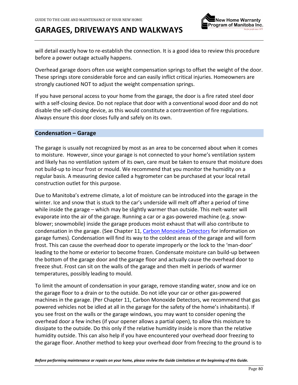

will detail exactly how to re-establish the connection. It is a good idea to review this procedure before a power outage actually happens.

Overhead garage doors often use weight compensation springs to offset the weight of the door. These springs store considerable force and can easily inflict critical injuries. Homeowners are strongly cautioned NOT to adjust the weight compensation springs.

If you have personal access to your home from the garage, the door is a fire rated steel door with a self-closing device. Do not replace that door with a conventional wood door and do not disable the self-closing device, as this would constitute a contravention of fire regulations. Always ensure this door closes fully and safely on its own.

#### **Condensation – Garage**

The garage is usually not recognized by most as an area to be concerned about when it comes to moisture. However, since your garage is not connected to your home's ventilation system and likely has no ventilation system of its own, care must be taken to ensure that moisture does not build-up to incur frost or mould. We recommend that you monitor the humidity on a regular basis. A measuring device called a hygrometer can be purchased at your local retail construction outlet for this purpose.

Due to Manitoba's extreme climate, a lot of moisture can be introduced into the garage in the winter. Ice and snow that is stuck to the car's underside will melt off after a period of time while inside the garage – which may be slightly warmer than outside. This melt-water will evaporate into the air of the garage. Running a car or a gas-powered machine (e.g. snowblower; snowmobile) inside the garage produces moist exhaust that will also contribute to condensation in the garage. (See Chapter 11[, Carbon Monoxide Detectors](#page-53-0) for information on garage fumes). Condensation will find its way to the coldest areas of the garage and will form frost. This can cause the overhead door to operate improperly or the lock to the 'man-door' leading to the home or exterior to become frozen. Condensate moisture can build-up between the bottom of the garage door and the garage floor and actually cause the overhead door to freeze shut. Frost can sit on the walls of the garage and then melt in periods of warmer temperatures, possibly leading to mould.

To limit the amount of condensation in your garage, remove standing water, snow and ice on the garage floor to a drain or to the outside. Do not idle your car or other gas-powered machines in the garage. (Per Chapter 11, Carbon Monoxide Detectors, we recommend that gas powered vehicles not be idled at all in the garage for the safety of the home's inhabitants). If you see frost on the walls or the garage windows, you may want to consider opening the overhead door a few inches (if your opener allows a partial open), to allow this moisture to dissipate to the outside. Do this only if the relative humidity inside is more than the relative humidity outside. This can also help if you have encountered your overhead door freezing to the garage floor. Another method to keep your overhead door from freezing to the ground is to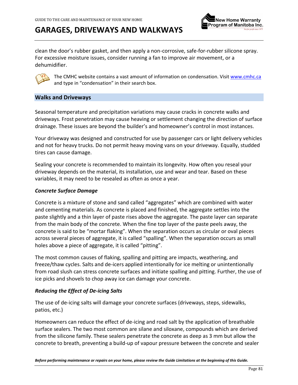

clean the door's rubber gasket, and then apply a non-corrosive, safe-for-rubber silicone spray. For excessive moisture issues, consider running a fan to improve air movement, or a dehumidifier.



The CMHC website contains a vast amount of information on condensation. Visi[t www.cmhc.ca](http://www.cmhc.ca/) and type in "condensation" in their search box.

#### **Walks and Driveways**

Seasonal temperature and precipitation variations may cause cracks in concrete walks and driveways. Frost penetration may cause heaving or settlement changing the direction of surface drainage. These issues are beyond the builder's and homeowner's control in most instances.

Your driveway was designed and constructed for use by passenger cars or light delivery vehicles and not for heavy trucks. Do not permit heavy moving vans on your driveway. Equally, studded tires can cause damage.

Sealing your concrete is recommended to maintain its longevity. How often you reseal your driveway depends on the material, its installation, use and wear and tear. Based on these variables, it may need to be resealed as often as once a year.

#### *Concrete Surface Damage*

Concrete is a mixture of stone and sand called "aggregates" which are combined with water and cementing materials. As concrete is placed and finished, the aggregate settles into the paste slightly and a thin layer of paste rises above the aggregate. The paste layer can separate from the main body of the concrete. When the fine top layer of the paste peels away, the concrete is said to be "mortar flaking". When the separation occurs as circular or oval pieces across several pieces of aggregate, it is called "spalling". When the separation occurs as small holes above a piece of aggregate, it is called "pitting".

The most common causes of flaking, spalling and pitting are impacts, weathering, and freeze/thaw cycles. Salts and de-icers applied intentionally for ice melting or unintentionally from road slush can stress concrete surfaces and initiate spalling and pitting. Further, the use of ice picks and shovels to chop away ice can damage your concrete.

#### *Reducing the Effect of De-icing Salts*

The use of de-icing salts will damage your concrete surfaces (driveways, steps, sidewalks, patios, etc.)

Homeowners can reduce the effect of de-icing and road salt by the application of breathable surface sealers. The two most common are silane and siloxane, compounds which are derived from the silicone family. These sealers penetrate the concrete as deep as 3 mm but allow the concrete to breath, preventing a build-up of vapour pressure between the concrete and sealer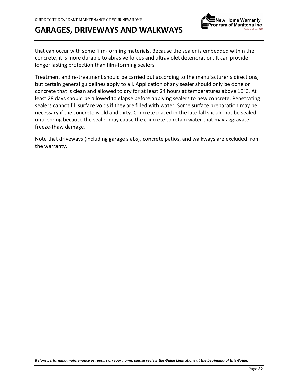

that can occur with some film-forming materials. Because the sealer is embedded within the concrete, it is more durable to abrasive forces and ultraviolet deterioration. It can provide longer lasting protection than film-forming sealers.

Treatment and re-treatment should be carried out according to the manufacturer's directions, but certain general guidelines apply to all. Application of any sealer should only be done on concrete that is clean and allowed to dry for at least 24 hours at temperatures above 16°C. At least 28 days should be allowed to elapse before applying sealers to new concrete. Penetrating sealers cannot fill surface voids if they are filled with water. Some surface preparation may be necessary if the concrete is old and dirty. Concrete placed in the late fall should not be sealed until spring because the sealer may cause the concrete to retain water that may aggravate freeze-thaw damage.

Note that driveways (including garage slabs), concrete patios, and walkways are excluded from the warranty.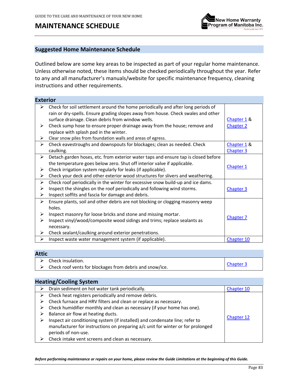### **MAINTENANCE SCHEDULE**



#### **Suggested Home Maintenance Schedule**

Outlined below are some key areas to be inspected as part of your regular home maintenance. Unless otherwise noted, these items should be checked periodically throughout the year. Refer to any and all manufacturer's manuals/website for specific maintenance frequency, cleaning instructions and other requirements.

| <b>Exterior</b> |                                                                                    |             |
|-----------------|------------------------------------------------------------------------------------|-------------|
|                 | Check for soil settlement around the home periodically and after long periods of   |             |
|                 | rain or dry-spells. Ensure grading slopes away from house. Check swales and other  |             |
|                 | surface drainage. Clean debris from window wells.                                  | Chapter 1 & |
| ➤               | Check sump hose to ensure proper drainage away from the house; remove and          | Chapter 2   |
|                 | replace with splash pad in the winter.                                             |             |
| ➤               | Clear snow piles from foundation walls and areas of egress.                        |             |
| ➤               | Check eavestroughs and downspouts for blockages; clean as needed. Check            | Chapter 1 & |
|                 | caulking.                                                                          | Chapter 3   |
| ≻               | Detach garden hoses, etc. from exterior water taps and ensure tap is closed before |             |
|                 | the temperature goes below zero. Shut off interior valve if applicable.            | Chapter 1   |
| ➤               | Check irrigation system regularly for leaks (if applicable).                       |             |
| ≻               | Check your deck and other exterior wood structures for slivers and weathering.     |             |
| ≻               | Check roof periodically in the winter for excessive snow build-up and ice dams.    |             |
| ➤               | Inspect the shingles on the roof periodically and following wind storms.           | Chapter 3   |
| ≻               | Inspect soffits and fascia for damage and debris.                                  |             |
| ≻               | Ensure plants, soil and other debris are not blocking or clogging masonry weep     |             |
|                 | holes.                                                                             |             |
| ➤               | Inspect masonry for loose bricks and stone and missing mortar.                     |             |
| ≻               | Inspect vinyl/wood/composite wood sidings and trims; replace sealants as           | Chapter 7   |
|                 | necessary.                                                                         |             |
| ➤               | Check sealant/caulking around exterior penetrations.                               |             |
| ≻               | Inspect waste water management system (if applicable).                             | Chapter 10  |

#### **Attic**

| ------ |                                                          |           |
|--------|----------------------------------------------------------|-----------|
|        | $\triangleright$ Check insulation.                       |           |
|        | Check roof vents for blockages from debris and snow/ice. | Chapter 3 |

### **Heating/Cooling System**

| ➤ | Drain sediment on hot water tank periodically.                                  | Chapter 10 |
|---|---------------------------------------------------------------------------------|------------|
| ➤ | Check heat registers periodically and remove debris.                            |            |
|   | Check furnace and HRV filters and clean or replace as necessary.                |            |
| ➤ | Check humidifier monthly and clean as necessary (if your home has one).         |            |
|   | Balance air flow at heating ducts.                                              |            |
| ➤ | Inspect air conditioning system (if installed) and condensate line; refer to    | Chapter 12 |
|   | manufacturer for instructions on preparing a/c unit for winter or for prolonged |            |
|   | periods of non-use.                                                             |            |
|   | Check intake vent screens and clean as necessary.                               |            |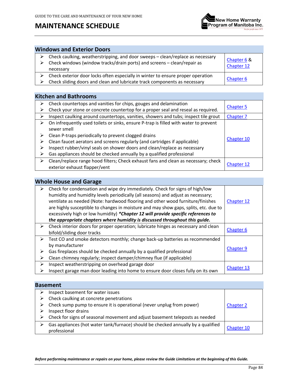## **MAINTENANCE SCHEDULE**



### **Windows and Exterior Doors**

| $\triangleright$ Check caulking, weatherstripping, and door sweeps – clean/replace as necessary<br>$\triangleright$ Check windows (window tracks/drain ports) and screens – clean/repair as<br>necessary | Chapter 6 &<br>Chapter 12 |
|----------------------------------------------------------------------------------------------------------------------------------------------------------------------------------------------------------|---------------------------|
| $\triangleright$ Check exterior door locks often especially in winter to ensure proper operation                                                                                                         | Chapter 6                 |
| $\triangleright$ Check sliding doors and clean and lubricate track components as necessary                                                                                                               |                           |

#### **Kitchen and Bathrooms**

| ⋗                | Check countertops and vanities for chips, gouges and delamination                                                                                                                                                                                                                        |                  |
|------------------|------------------------------------------------------------------------------------------------------------------------------------------------------------------------------------------------------------------------------------------------------------------------------------------|------------------|
| ⋗                | Check your stone or concrete countertop for a proper seal and reseal as required.                                                                                                                                                                                                        | <b>Chapter 5</b> |
| ⋗                | Inspect caulking around countertops, vanities, showers and tubs; inspect tile grout                                                                                                                                                                                                      | Chapter 7        |
| ⋗                | On infrequently used toilets or sinks, ensure P-trap is filled with water to prevent<br>sewer smell                                                                                                                                                                                      |                  |
| ⋗<br>⋗<br>⋗<br>⋗ | Clean P-traps periodically to prevent clogged drains<br>Clean faucet aerators and screens regularly (and cartridges if applicable)<br>Inspect rubber/vinyl seals on shower doors and clean/replace as necessary<br>Gas appliances should be checked annually by a qualified professional | Chapter 10       |
| ➤                | Clean/replace range hood filters; Check exhaust fans and clean as necessary; check<br>exterior exhaust flapper/vent                                                                                                                                                                      | Chapter 12       |

#### **Whole House and Garage**

| ➤ | Check for condensation and wipe dry immediately. Check for signs of high/low<br>humidity and humidity levels periodically (all seasons) and adjust as necessary;<br>ventilate as needed (Note: hardwood flooring and other wood furniture/finishes<br>are highly susceptible to changes in moisture and may show gaps, splits, etc. due to<br>excessively high or low humidity) *Chapter 12 will provide specific references to<br>the appropriate chapters where humidity is discussed throughout this guide. | Chapter 12       |
|---|----------------------------------------------------------------------------------------------------------------------------------------------------------------------------------------------------------------------------------------------------------------------------------------------------------------------------------------------------------------------------------------------------------------------------------------------------------------------------------------------------------------|------------------|
|   |                                                                                                                                                                                                                                                                                                                                                                                                                                                                                                                |                  |
| ➤ | Check interior doors for proper operation; lubricate hinges as necessary and clean                                                                                                                                                                                                                                                                                                                                                                                                                             | Chapter 6        |
|   | bifold/sliding door tracks                                                                                                                                                                                                                                                                                                                                                                                                                                                                                     |                  |
| ➤ | Test CO and smoke detectors monthly; change back-up batteries as recommended                                                                                                                                                                                                                                                                                                                                                                                                                                   |                  |
|   | by manufacturer                                                                                                                                                                                                                                                                                                                                                                                                                                                                                                |                  |
| ⋗ | Gas fireplaces should be checked annually by a qualified professional                                                                                                                                                                                                                                                                                                                                                                                                                                          | <b>Chapter 9</b> |
| ⋗ | Clean chimney regularly; inspect damper/chimney flue (if applicable)                                                                                                                                                                                                                                                                                                                                                                                                                                           |                  |
| ≻ | Inspect weatherstripping on overhead garage door                                                                                                                                                                                                                                                                                                                                                                                                                                                               |                  |
| ⋗ | Inspect garage man door leading into home to ensure door closes fully on its own                                                                                                                                                                                                                                                                                                                                                                                                                               | Chapter 13       |

#### **Basement**

| Inspect basement for water issues                                                                 |                  |  |
|---------------------------------------------------------------------------------------------------|------------------|--|
| Check caulking at concrete penetrations                                                           |                  |  |
| Check sump pump to ensure it is operational (never unplug from power)                             | <b>Chapter 2</b> |  |
| Inspect floor drains                                                                              |                  |  |
| Check for signs of seasonal movement and adjust basement teleposts as needed                      |                  |  |
| Gas appliances (hot water tank/furnace) should be checked annually by a qualified<br>professional | Chapter 10       |  |